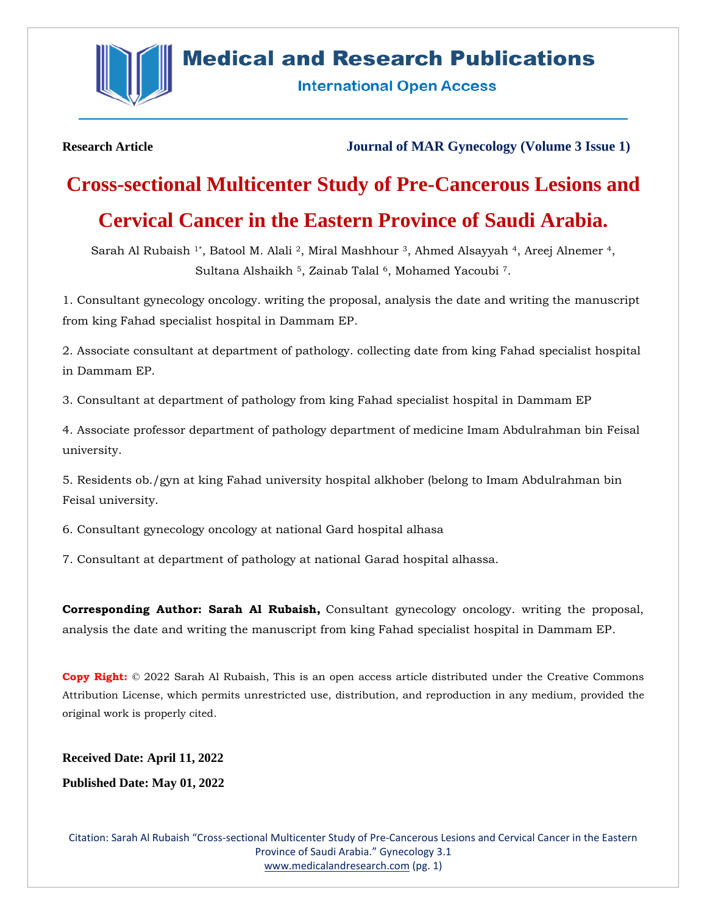

# **Medical and Research Publications**

**International Open Access** 

**Research Article Journal of MAR Gynecology (Volume 3 Issue 1)**

# **Cross-sectional Multicenter Study of Pre-Cancerous Lesions and**

## **Cervical Cancer in the Eastern Province of Saudi Arabia.**

Sarah Al Rubaish <sup>1\*</sup>, Batool M. Alali <sup>2</sup>, Miral Mashhour <sup>3</sup>, Ahmed Alsayyah <sup>4</sup>, Areej Alnemer <sup>4</sup>, Sultana Alshaikh <sup>5</sup>, Zainab Talal <sup>6</sup>, Mohamed Yacoubi <sup>7</sup>.

1. Consultant gynecology oncology. writing the proposal, analysis the date and writing the manuscript from king Fahad specialist hospital in Dammam EP.

2. Associate consultant at department of pathology. collecting date from king Fahad specialist hospital in Dammam EP.

3. Consultant at department of pathology from king Fahad specialist hospital in Dammam EP

4. Associate professor department of pathology department of medicine Imam Abdulrahman bin Feisal university.

5. Residents ob./gyn at king Fahad university hospital alkhober (belong to Imam Abdulrahman bin Feisal university.

6. Consultant gynecology oncology at national Gard hospital alhasa

7. Consultant at department of pathology at national Garad hospital alhassa.

**Corresponding Author: Sarah Al Rubaish,** Consultant gynecology oncology. writing the proposal, analysis the date and writing the manuscript from king Fahad specialist hospital in Dammam EP.

**Copy Right:** © 2022 Sarah Al Rubaish, This is an open access article distributed under the Creative Commons Attribution License, which permits unrestricted use, distribution, and reproduction in any medium, provided the original work is properly cited.

**Received Date: April 11, 2022**

**Published Date: May 01, 2022**

Citation: Sarah Al Rubaish "Cross-sectional Multicenter Study of Pre-Cancerous Lesions and Cervical Cancer in the Eastern Province of Saudi Arabia." Gynecology 3.1 [www.medicalandresearch.com](http://www.medicalandresearch.com/) (pg. 1)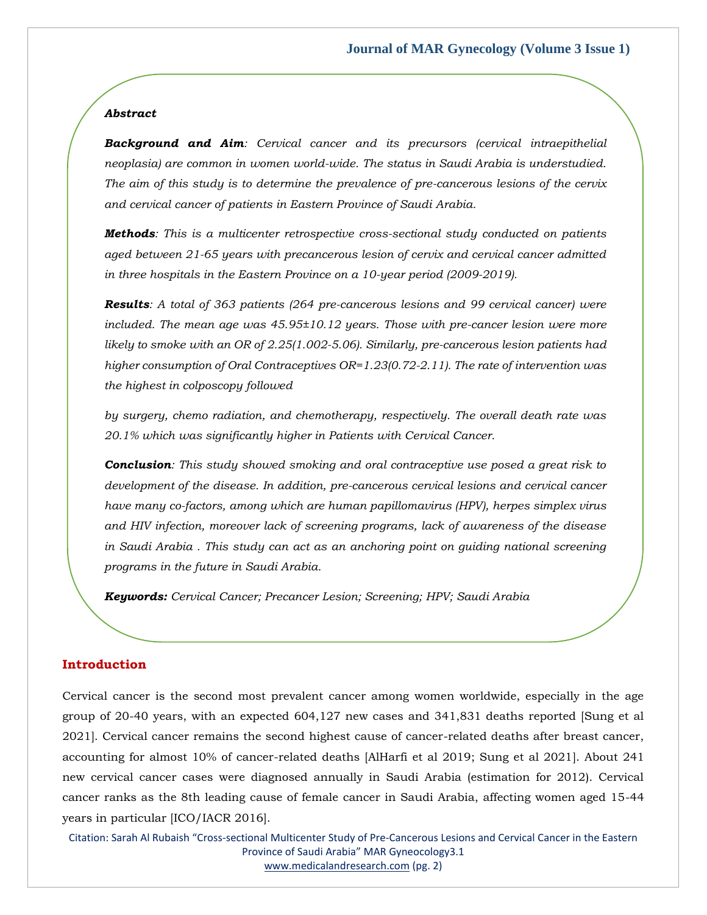### *Abstract*

*Background and Aim: Cervical cancer and its precursors (cervical intraepithelial neoplasia) are common in women world-wide. The status in Saudi Arabia is understudied. The aim of this study is to determine the prevalence of pre-cancerous lesions of the cervix and cervical cancer of patients in Eastern Province of Saudi Arabia.*

*Methods: This is a multicenter retrospective cross-sectional study conducted on patients aged between 21-65 years with precancerous lesion of cervix and cervical cancer admitted in three hospitals in the Eastern Province on a 10-year period (2009-2019).*

*Results: A total of 363 patients (264 pre-cancerous lesions and 99 cervical cancer) were included. The mean age was 45.95±10.12 years. Those with pre-cancer lesion were more likely to smoke with an OR of 2.25(1.002-5.06). Similarly, pre-cancerous lesion patients had higher consumption of Oral Contraceptives OR=1.23(0.72-2.11). The rate of intervention was the highest in colposcopy followed*

*by surgery, chemo radiation, and chemotherapy, respectively. The overall death rate was 20.1% which was significantly higher in Patients with Cervical Cancer.*

*Conclusion: This study showed smoking and oral contraceptive use posed a great risk to development of the disease. In addition, pre-cancerous cervical lesions and cervical cancer have many co-factors, among which are human papillomavirus (HPV), herpes simplex virus and HIV infection, moreover lack of screening programs, lack of awareness of the disease in Saudi Arabia . This study can act as an anchoring point on guiding national screening programs in the future in Saudi Arabia.*

*Keywords: Cervical Cancer; Precancer Lesion; Screening; HPV; Saudi Arabia*

### **Introduction**

Cervical cancer is the second most prevalent cancer among women worldwide, especially in the age group of 20-40 years, with an expected 604,127 new cases and 341,831 deaths reported [Sung et al 2021]. Cervical cancer remains the second highest cause of cancer-related deaths after breast cancer, accounting for almost 10% of cancer-related deaths [AlHarfi et al 2019; Sung et al 2021]. About 241 new cervical cancer cases were diagnosed annually in Saudi Arabia (estimation for 2012). Cervical cancer ranks as the 8th leading cause of female cancer in Saudi Arabia, affecting women aged 15-44 years in particular [ICO/IACR 2016].

Citation: Sarah Al Rubaish "Cross-sectional Multicenter Study of Pre-Cancerous Lesions and Cervical Cancer in the Eastern Province of Saudi Arabia" MAR Gyneocology3.1 [www.medicalandresearch.com](http://www.medicalandresearch.com/) (pg. 2)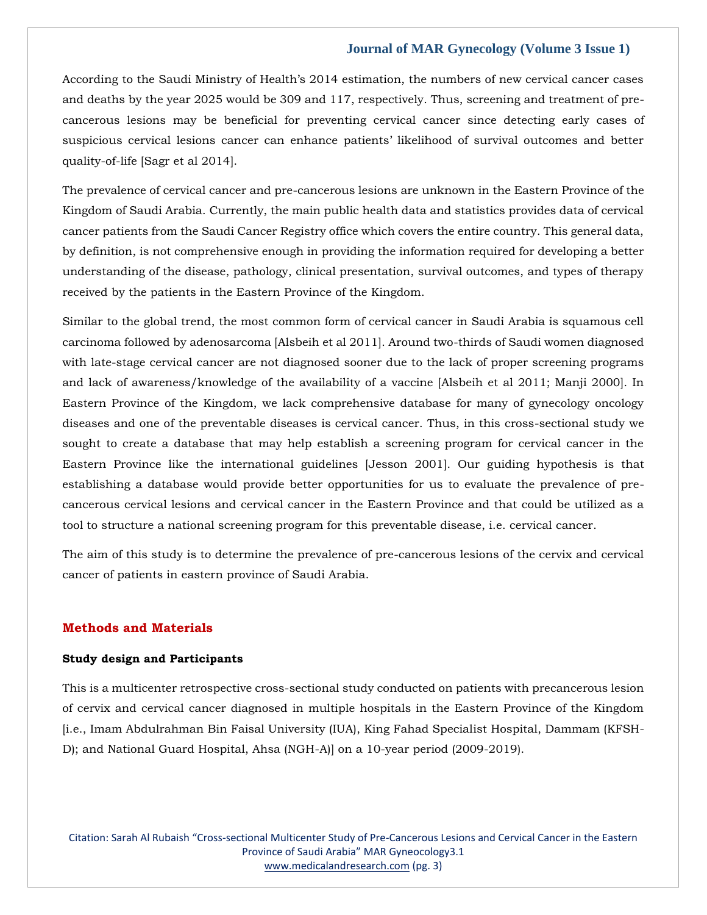According to the Saudi Ministry of Health's 2014 estimation, the numbers of new cervical cancer cases and deaths by the year 2025 would be 309 and 117, respectively. Thus, screening and treatment of precancerous lesions may be beneficial for preventing cervical cancer since detecting early cases of suspicious cervical lesions cancer can enhance patients' likelihood of survival outcomes and better quality-of-life [Sagr et al 2014].

The prevalence of cervical cancer and pre-cancerous lesions are unknown in the Eastern Province of the Kingdom of Saudi Arabia. Currently, the main public health data and statistics provides data of cervical cancer patients from the Saudi Cancer Registry office which covers the entire country. This general data, by definition, is not comprehensive enough in providing the information required for developing a better understanding of the disease, pathology, clinical presentation, survival outcomes, and types of therapy received by the patients in the Eastern Province of the Kingdom.

Similar to the global trend, the most common form of cervical cancer in Saudi Arabia is squamous cell carcinoma followed by adenosarcoma [Alsbeih et al 2011]. Around two-thirds of Saudi women diagnosed with late-stage cervical cancer are not diagnosed sooner due to the lack of proper screening programs and lack of awareness/knowledge of the availability of a vaccine [Alsbeih et al 2011; Manji 2000]. In Eastern Province of the Kingdom, we lack comprehensive database for many of gynecology oncology diseases and one of the preventable diseases is cervical cancer. Thus, in this cross-sectional study we sought to create a database that may help establish a screening program for cervical cancer in the Eastern Province like the international guidelines [Jesson 2001]. Our guiding hypothesis is that establishing a database would provide better opportunities for us to evaluate the prevalence of precancerous cervical lesions and cervical cancer in the Eastern Province and that could be utilized as a tool to structure a national screening program for this preventable disease, i.e. cervical cancer.

The aim of this study is to determine the prevalence of pre-cancerous lesions of the cervix and cervical cancer of patients in eastern province of Saudi Arabia.

### **Methods and Materials**

### **Study design and Participants**

This is a multicenter retrospective cross-sectional study conducted on patients with precancerous lesion of cervix and cervical cancer diagnosed in multiple hospitals in the Eastern Province of the Kingdom [i.e., Imam Abdulrahman Bin Faisal University (IUA), King Fahad Specialist Hospital, Dammam (KFSH-D); and National Guard Hospital, Ahsa (NGH-A)] on a 10-year period (2009-2019).

Citation: Sarah Al Rubaish "Cross-sectional Multicenter Study of Pre-Cancerous Lesions and Cervical Cancer in the Eastern Province of Saudi Arabia" MAR Gyneocology3.1 [www.medicalandresearch.com](http://www.medicalandresearch.com/) (pg. 3)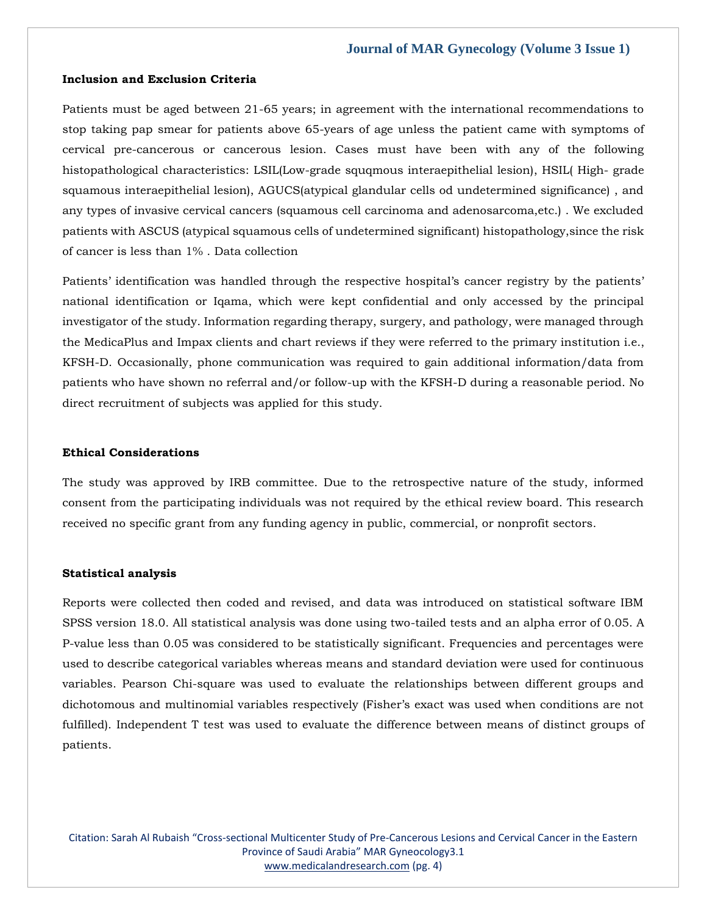### **Inclusion and Exclusion Criteria**

Patients must be aged between 21-65 years; in agreement with the international recommendations to stop taking pap smear for patients above 65-years of age unless the patient came with symptoms of cervical pre-cancerous or cancerous lesion. Cases must have been with any of the following histopathological characteristics: LSIL(Low-grade squqmous interaepithelial lesion), HSIL( High- grade squamous interaepithelial lesion), AGUCS(atypical glandular cells od undetermined significance) , and any types of invasive cervical cancers (squamous cell carcinoma and adenosarcoma,etc.) . We excluded patients with ASCUS (atypical squamous cells of undetermined significant) histopathology,since the risk of cancer is less than 1% . Data collection

Patients' identification was handled through the respective hospital's cancer registry by the patients' national identification or Iqama, which were kept confidential and only accessed by the principal investigator of the study. Information regarding therapy, surgery, and pathology, were managed through the MedicaPlus and Impax clients and chart reviews if they were referred to the primary institution i.e., KFSH-D. Occasionally, phone communication was required to gain additional information/data from patients who have shown no referral and/or follow-up with the KFSH-D during a reasonable period. No direct recruitment of subjects was applied for this study.

### **Ethical Considerations**

The study was approved by IRB committee. Due to the retrospective nature of the study, informed consent from the participating individuals was not required by the ethical review board. This research received no specific grant from any funding agency in public, commercial, or nonprofit sectors.

### **Statistical analysis**

Reports were collected then coded and revised, and data was introduced on statistical software IBM SPSS version 18.0. All statistical analysis was done using two-tailed tests and an alpha error of 0.05. A P-value less than 0.05 was considered to be statistically significant. Frequencies and percentages were used to describe categorical variables whereas means and standard deviation were used for continuous variables. Pearson Chi-square was used to evaluate the relationships between different groups and dichotomous and multinomial variables respectively (Fisher's exact was used when conditions are not fulfilled). Independent T test was used to evaluate the difference between means of distinct groups of patients.

Citation: Sarah Al Rubaish "Cross-sectional Multicenter Study of Pre-Cancerous Lesions and Cervical Cancer in the Eastern Province of Saudi Arabia" MAR Gyneocology3.1 [www.medicalandresearch.com](http://www.medicalandresearch.com/) (pg. 4)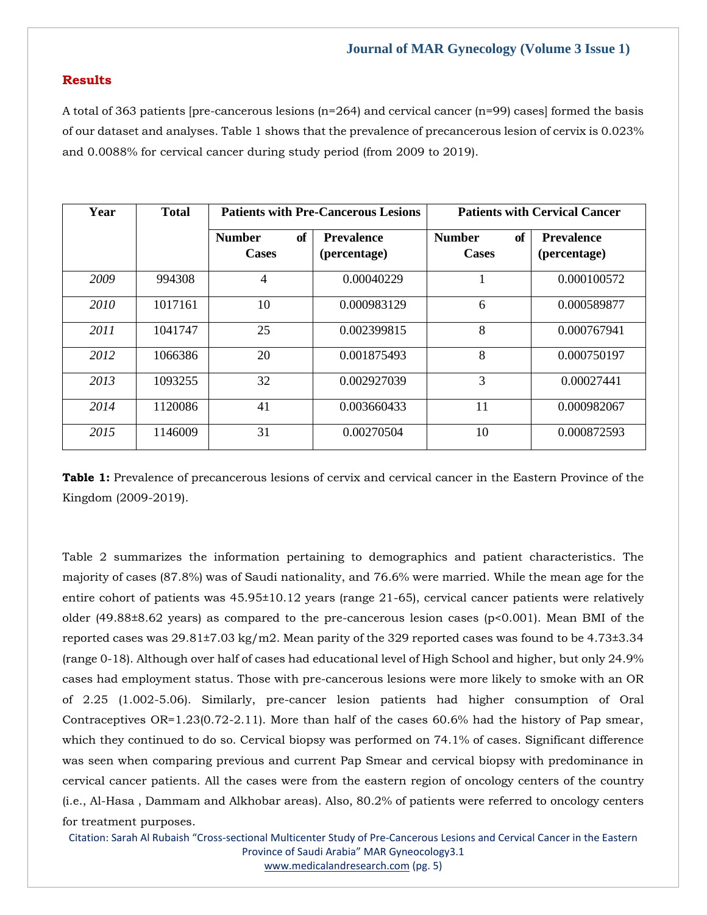### **Results**

A total of 363 patients [pre-cancerous lesions  $(n=264)$  and cervical cancer  $(n=99)$  cases] formed the basis of our dataset and analyses. Table 1 shows that the prevalence of precancerous lesion of cervix is 0.023% and 0.0088% for cervical cancer during study period (from 2009 to 2019).

| Year | <b>Total</b> | <b>Patients with Pre-Cancerous Lesions</b> |                                   | <b>Patients with Cervical Cancer</b>       |                                   |  |
|------|--------------|--------------------------------------------|-----------------------------------|--------------------------------------------|-----------------------------------|--|
|      |              | of<br><b>Number</b><br><b>Cases</b>        | <b>Prevalence</b><br>(percentage) | <b>of</b><br><b>Number</b><br><b>Cases</b> | <b>Prevalence</b><br>(percentage) |  |
| 2009 | 994308       | $\overline{4}$                             | 0.00040229                        |                                            | 0.000100572                       |  |
| 2010 | 1017161      | 10                                         | 0.000983129                       | 6                                          | 0.000589877                       |  |
| 2011 | 1041747      | 25                                         | 0.002399815                       | 8                                          | 0.000767941                       |  |
| 2012 | 1066386      | 20                                         | 0.001875493                       | 8                                          | 0.000750197                       |  |
| 2013 | 1093255      | 32                                         | 0.002927039                       | 3                                          | 0.00027441                        |  |
| 2014 | 1120086      | 41                                         | 0.003660433                       | 11                                         | 0.000982067                       |  |
| 2015 | 1146009      | 31                                         | 0.00270504                        | 10                                         | 0.000872593                       |  |

**Table 1:** Prevalence of precancerous lesions of cervix and cervical cancer in the Eastern Province of the Kingdom (2009-2019).

Table 2 summarizes the information pertaining to demographics and patient characteristics. The majority of cases (87.8%) was of Saudi nationality, and 76.6% were married. While the mean age for the entire cohort of patients was 45.95±10.12 years (range 21-65), cervical cancer patients were relatively older (49.88±8.62 years) as compared to the pre-cancerous lesion cases (p<0.001). Mean BMI of the reported cases was 29.81±7.03 kg/m2. Mean parity of the 329 reported cases was found to be 4.73±3.34 (range 0-18). Although over half of cases had educational level of High School and higher, but only 24.9% cases had employment status. Those with pre-cancerous lesions were more likely to smoke with an OR of 2.25 (1.002-5.06). Similarly, pre-cancer lesion patients had higher consumption of Oral Contraceptives OR=1.23(0.72-2.11). More than half of the cases 60.6% had the history of Pap smear, which they continued to do so. Cervical biopsy was performed on 74.1% of cases. Significant difference was seen when comparing previous and current Pap Smear and cervical biopsy with predominance in cervical cancer patients. All the cases were from the eastern region of oncology centers of the country (i.e., Al-Hasa , Dammam and Alkhobar areas). Also, 80.2% of patients were referred to oncology centers for treatment purposes.

Citation: Sarah Al Rubaish "Cross-sectional Multicenter Study of Pre-Cancerous Lesions and Cervical Cancer in the Eastern Province of Saudi Arabia" MAR Gyneocology3.1 [www.medicalandresearch.com](http://www.medicalandresearch.com/) (pg. 5)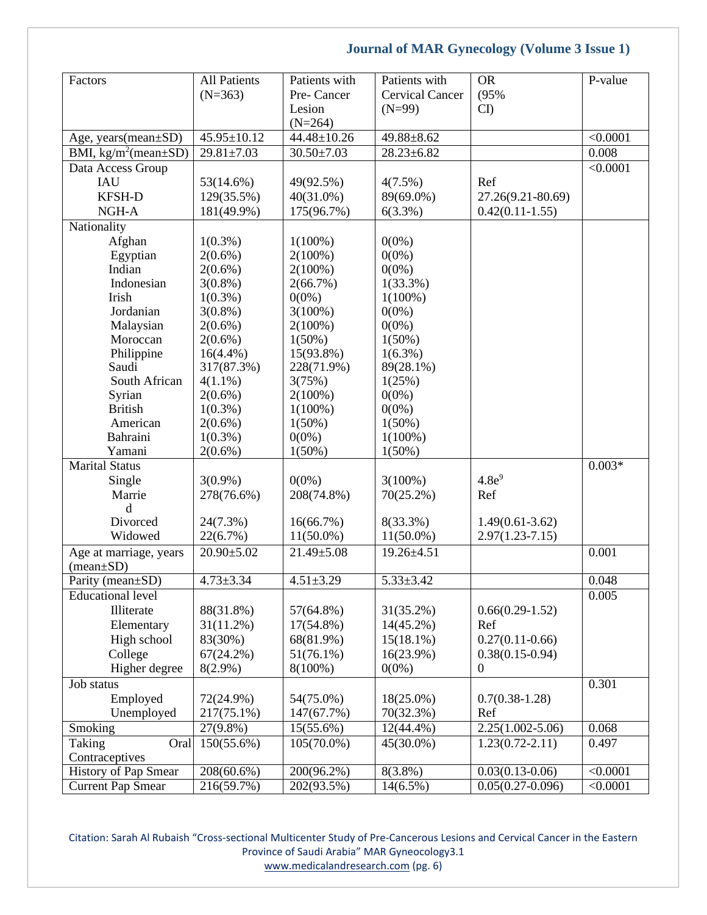| Factors                              | <b>All Patients</b> | Patients with    | Patients with          | <b>OR</b>            | P-value  |
|--------------------------------------|---------------------|------------------|------------------------|----------------------|----------|
|                                      | $(N=363)$           | Pre-Cancer       | <b>Cervical Cancer</b> | (95%                 |          |
|                                      |                     | Lesion           | $(N=99)$               | CD                   |          |
|                                      |                     | $(N=264)$        |                        |                      |          |
| Age, years(mean±SD)                  | 45.95±10.12         | 44.48±10.26      | 49.88±8.62             |                      | < 0.0001 |
| BMI, $\text{kg/m}^2$ (mean $\pm$ SD) | $29.81 \pm 7.03$    | $30.50 \pm 7.03$ | $28.23 \pm 6.82$       |                      | 0.008    |
| Data Access Group                    |                     |                  |                        |                      | < 0.0001 |
| <b>IAU</b>                           | 53(14.6%)           | 49(92.5%)        | 4(7.5%)                | Ref                  |          |
| <b>KFSH-D</b>                        | 129(35.5%)          | $40(31.0\%)$     | 89(69.0%)              | 27.26(9.21-80.69)    |          |
| NGH-A                                | 181(49.9%)          | 175(96.7%)       | 6(3.3%)                | $0.42(0.11-1.55)$    |          |
| Nationality                          |                     |                  |                        |                      |          |
| Afghan                               | $1(0.3\%)$          | $1(100\%)$       | $0(0\%)$               |                      |          |
| Egyptian                             | $2(0.6\%)$          | $2(100\%)$       | $0(0\%)$               |                      |          |
| Indian                               | $2(0.6\%)$          | $2(100\%)$       | $0(0\%)$               |                      |          |
| Indonesian                           | $3(0.8\%)$          | 2(66.7%)         | $1(33.3\%)$            |                      |          |
| Irish                                | $1(0.3\%)$          | $0(0\%)$         | $1(100\%)$             |                      |          |
| Jordanian                            | $3(0.8\%)$          | $3(100\%)$       | $0(0\%)$               |                      |          |
| Malaysian                            | $2(0.6\%)$          | $2(100\%)$       | $0(0\%)$               |                      |          |
| Moroccan                             | $2(0.6\%)$          | $1(50\%)$        | $1(50\%)$              |                      |          |
| Philippine                           | $16(4.4\%)$         | 15(93.8%)        | $1(6.3\%)$             |                      |          |
| Saudi                                | 317(87.3%)          | 228(71.9%)       | 89(28.1%)              |                      |          |
| South African                        | $4(1.1\%)$          | 3(75%)           | 1(25%)                 |                      |          |
| Syrian                               | $2(0.6\%)$          | $2(100\%)$       | $0(0\%)$               |                      |          |
| <b>British</b>                       | $1(0.3\%)$          | $1(100\%)$       | $0(0\%)$               |                      |          |
| American                             | $2(0.6\%)$          | $1(50\%)$        | $1(50\%)$              |                      |          |
| Bahraini                             | $1(0.3\%)$          | $0(0\%)$         | $1(100\%)$             |                      |          |
| Yamani                               | $2(0.6\%)$          | $1(50\%)$        | $1(50\%)$              |                      |          |
| <b>Marital Status</b>                |                     |                  |                        |                      | $0.003*$ |
| Single                               | $3(0.9\%)$          | $0(0\%)$         | $3(100\%)$             | 4.8e <sup>9</sup>    |          |
| Marrie                               | 278(76.6%)          | 208(74.8%)       | $70(25.2\%)$           | Ref                  |          |
| $\mathbf d$                          |                     |                  |                        |                      |          |
| Divorced                             | 24(7.3%)            | 16(66.7%)        | 8(33.3%)               | $1.49(0.61 - 3.62)$  |          |
| Widowed                              | 22(6.7%)            | $11(50.0\%)$     | $11(50.0\%)$           | $2.97(1.23 - 7.15)$  |          |
|                                      |                     |                  |                        |                      |          |
| Age at marriage, years               | $20.90 \pm 5.02$    | $21.49 \pm 5.08$ | 19.26±4.51             |                      | 0.001    |
| $(mean \pm SD)$                      |                     |                  |                        |                      |          |
| Parity (mean±SD)                     | $4.73 \pm 3.34$     | $4.51 \pm 3.29$  | $5.33 \pm 3.42$        |                      | 0.048    |
| <b>Educational level</b>             |                     |                  |                        |                      | 0.005    |
| Illiterate                           | 88(31.8%)           | 57(64.8%)        | 31(35.2%)              | $0.66(0.29-1.52)$    |          |
| Elementary                           | 31(11.2%)           | $17(54.8\%)$     | $14(45.2\%)$           | Ref                  |          |
| High school                          | 83(30%)             | 68(81.9%)        | $15(18.1\%)$           | $0.27(0.11-0.66)$    |          |
| College                              | $67(24.2\%)$        | $51(76.1\%)$     | $16(23.9\%)$           | $0.38(0.15-0.94)$    |          |
| Higher degree                        | $8(2.9\%)$          | $8(100\%)$       | $0(0\%)$               | $\boldsymbol{0}$     |          |
| Job status                           |                     |                  |                        |                      | 0.301    |
| Employed                             | 72(24.9%)           | 54(75.0%)        | $18(25.0\%)$           | $0.7(0.38-1.28)$     |          |
| Unemployed                           | 217(75.1%)          | 147(67.7%)       | 70(32.3%)              | Ref                  |          |
| Smoking                              | $27(9.8\%)$         | $15(55.6\%)$     | $12(44.4\%)$           | $2.25(1.002 - 5.06)$ | 0.068    |
| Taking<br>Oral                       | 150(55.6%)          | $105(70.0\%)$    | 45(30.0%)              | $1.23(0.72 - 2.11)$  | 0.497    |
| Contraceptives                       |                     |                  |                        |                      |          |
| History of Pap Smear                 | $208(60.6\%)$       | 200(96.2%)       | $8(3.8\%)$             | $0.03(0.13-0.06)$    | < 0.0001 |
| <b>Current Pap Smear</b>             | 216(59.7%)          | 202(93.5%)       | $14(6.5\%)$            | $0.05(0.27-0.096)$   | < 0.0001 |
|                                      |                     |                  |                        |                      |          |

Citation: Sarah Al Rubaish "Cross-sectional Multicenter Study of Pre-Cancerous Lesions and Cervical Cancer in the Eastern Province of Saudi Arabia" MAR Gyneocology3.1 [www.medicalandresearch.com](http://www.medicalandresearch.com/) (pg. 6)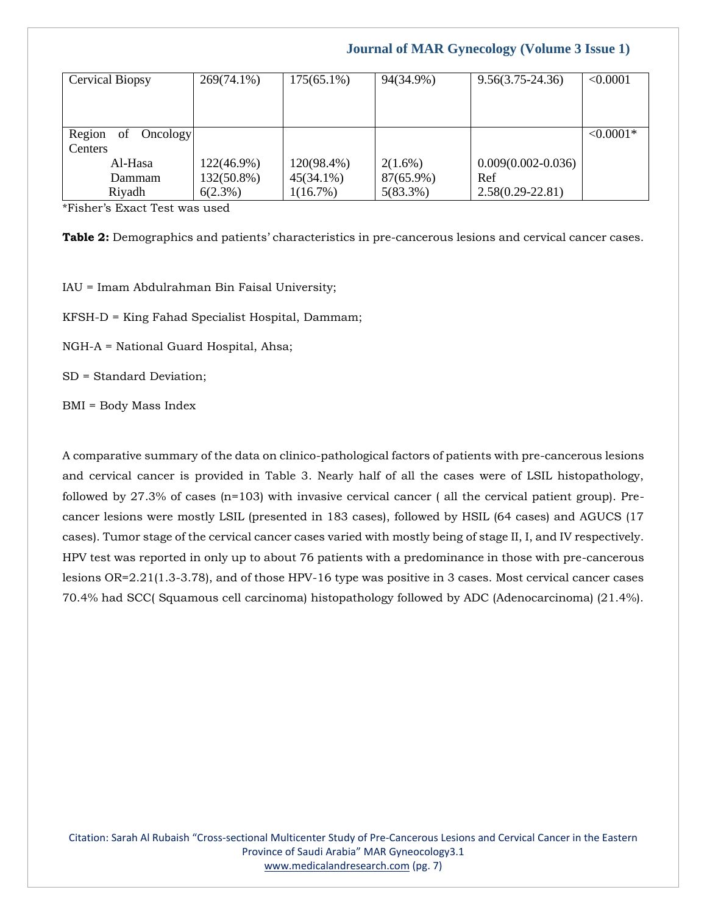| <b>Cervical Biopsy</b>   | $269(74.1\%)$ | $175(65.1\%)$ | 94(34.9%)   | $9.56(3.75 - 24.36)$   | < 0.0001    |
|--------------------------|---------------|---------------|-------------|------------------------|-------------|
|                          |               |               |             |                        |             |
|                          |               |               |             |                        |             |
| Region<br>Oncology<br>of |               |               |             |                        | $< 0.0001*$ |
| Centers                  |               |               |             |                        |             |
| Al-Hasa                  | 122(46.9%)    | 120(98.4%)    | $2(1.6\%)$  | $0.009(0.002 - 0.036)$ |             |
| Dammam                   | 132(50.8%)    | $45(34.1\%)$  | 87(65.9%)   | Ref                    |             |
| Riyadh                   | $6(2.3\%)$    | 1(16.7%)      | $5(83.3\%)$ | $2.58(0.29 - 22.81)$   |             |

\*Fisher's Exact Test was used

**Table 2:** Demographics and patients' characteristics in pre-cancerous lesions and cervical cancer cases.

IAU = Imam Abdulrahman Bin Faisal University;

KFSH-D = King Fahad Specialist Hospital, Dammam;

NGH-A = National Guard Hospital, Ahsa;

SD = Standard Deviation;

BMI = Body Mass Index

A comparative summary of the data on clinico-pathological factors of patients with pre-cancerous lesions and cervical cancer is provided in Table 3. Nearly half of all the cases were of LSIL histopathology, followed by 27.3% of cases (n=103) with invasive cervical cancer ( all the cervical patient group). Precancer lesions were mostly LSIL (presented in 183 cases), followed by HSIL (64 cases) and AGUCS (17 cases). Tumor stage of the cervical cancer cases varied with mostly being of stage II, I, and IV respectively. HPV test was reported in only up to about 76 patients with a predominance in those with pre-cancerous lesions OR=2.21(1.3-3.78), and of those HPV-16 type was positive in 3 cases. Most cervical cancer cases 70.4% had SCC( Squamous cell carcinoma) histopathology followed by ADC (Adenocarcinoma) (21.4%).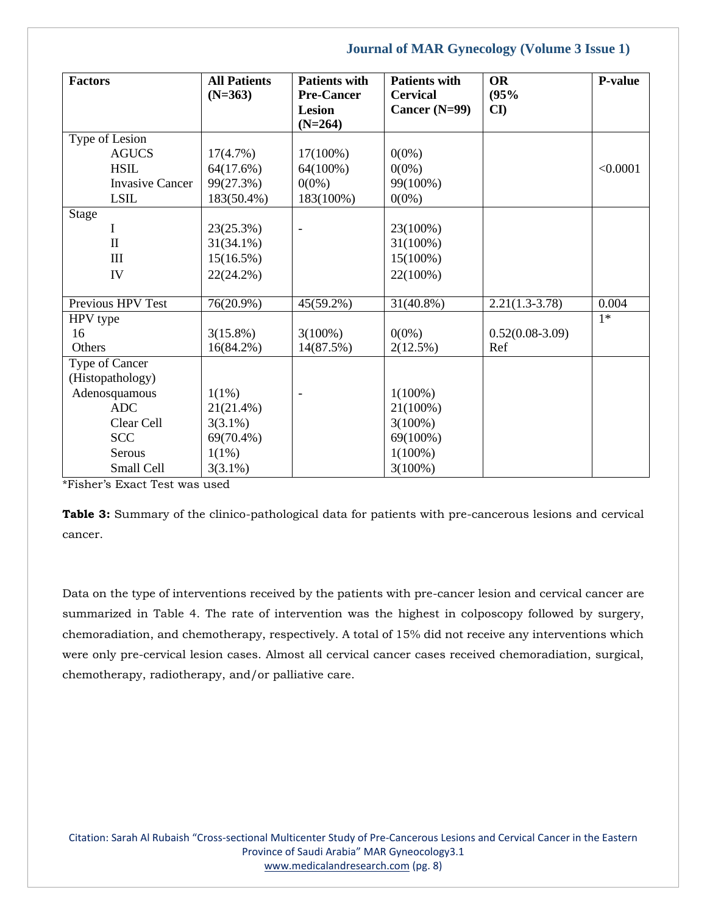| <b>Factors</b>         | <b>All Patients</b><br>$(N=363)$ | <b>Patients with</b><br><b>Pre-Cancer</b> | <b>Patients with</b><br><b>Cervical</b> | <b>OR</b><br>(95%      | <b>P-value</b> |
|------------------------|----------------------------------|-------------------------------------------|-----------------------------------------|------------------------|----------------|
|                        |                                  | Lesion<br>$(N=264)$                       | Cancer $(N=99)$                         | $\mathbf{C}\mathbf{I}$ |                |
| Type of Lesion         |                                  |                                           |                                         |                        |                |
| <b>AGUCS</b>           | 17(4.7%)                         | $17(100\%)$                               | $0(0\%)$                                |                        |                |
| <b>HSIL</b>            | 64(17.6%)                        | 64(100%)                                  | $0(0\%)$                                |                        | < 0.0001       |
| <b>Invasive Cancer</b> | 99(27.3%)                        | $0(0\%)$                                  | 99(100%)                                |                        |                |
| <b>LSIL</b>            | 183(50.4%)                       | 183(100%)                                 | $0(0\%)$                                |                        |                |
| <b>Stage</b>           |                                  |                                           |                                         |                        |                |
| L                      | 23(25.3%)                        | $\overline{\phantom{0}}$                  | 23(100%)                                |                        |                |
| $\mathbf{I}$           | $31(34.1\%)$                     |                                           | $31(100\%)$                             |                        |                |
| $\mathbf{I}$           | 15(16.5%)                        |                                           | $15(100\%)$                             |                        |                |
| IV                     | $22(24.2\%)$                     |                                           | 22(100%)                                |                        |                |
| Previous HPV Test      | 76(20.9%)                        | 45(59.2%)                                 | $31(40.8\%)$                            | $2.21(1.3-3.78)$       | 0.004          |
| HPV type               |                                  |                                           |                                         |                        | $1*$           |
| 16                     | $3(15.8\%)$                      | $3(100\%)$                                | $0(0\%)$                                | $0.52(0.08-3.09)$      |                |
| Others                 | $16(84.2\%)$                     | 14(87.5%)                                 | 2(12.5%)                                | Ref                    |                |
| Type of Cancer         |                                  |                                           |                                         |                        |                |
| (Histopathology)       |                                  |                                           |                                         |                        |                |
| Adenosquamous          | $1(1\%)$                         |                                           | $1(100\%)$                              |                        |                |
| <b>ADC</b>             | 21(21.4%)                        |                                           | $21(100\%)$                             |                        |                |
| Clear Cell             | $3(3.1\%)$                       |                                           | $3(100\%)$                              |                        |                |
| <b>SCC</b>             | 69(70.4%)                        |                                           | 69(100%)                                |                        |                |
| Serous                 | $1(1\%)$                         |                                           | $1(100\%)$                              |                        |                |
| Small Cell             | $3(3.1\%)$                       |                                           | $3(100\%)$                              |                        |                |

\*Fisher's Exact Test was used

**Table 3:** Summary of the clinico-pathological data for patients with pre-cancerous lesions and cervical cancer.

Data on the type of interventions received by the patients with pre-cancer lesion and cervical cancer are summarized in Table 4. The rate of intervention was the highest in colposcopy followed by surgery, chemoradiation, and chemotherapy, respectively. A total of 15% did not receive any interventions which were only pre-cervical lesion cases. Almost all cervical cancer cases received chemoradiation, surgical, chemotherapy, radiotherapy, and/or palliative care.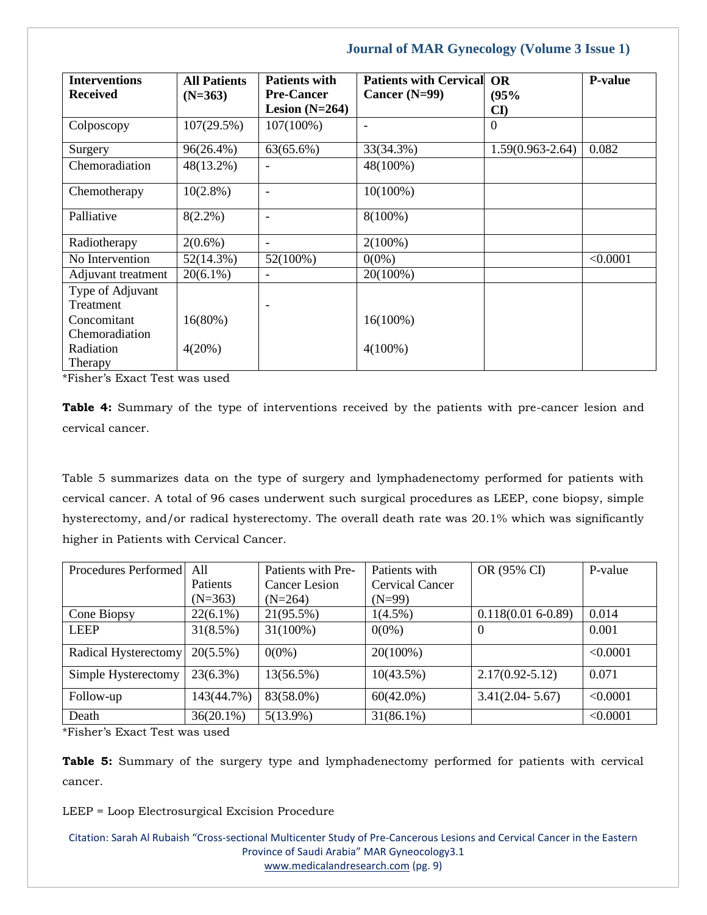| <b>Interventions</b> | <b>All Patients</b> | <b>Patients with</b>     | <b>Patients with Cervical</b> | <b>OR</b>              | <b>P-value</b> |
|----------------------|---------------------|--------------------------|-------------------------------|------------------------|----------------|
| <b>Received</b>      | $(N=363)$           | <b>Pre-Cancer</b>        | Cancer $(N=99)$               | (95%                   |                |
|                      |                     | Lesion $(N=264)$         |                               | $\mathbf{C}\mathbf{D}$ |                |
| Colposcopy           | 107(29.5%)          | $107(100\%)$             | $\overline{\phantom{a}}$      | $\theta$               |                |
| Surgery              | 96(26.4%)           | $63(65.6\%)$             | 33(34.3%)                     | $1.59(0.963 - 2.64)$   | 0.082          |
| Chemoradiation       | 48(13.2%)           | $\overline{\phantom{a}}$ | 48(100%)                      |                        |                |
| Chemotherapy         | $10(2.8\%)$         |                          | $10(100\%)$                   |                        |                |
| Palliative           | $8(2.2\%)$          | ۰                        | $8(100\%)$                    |                        |                |
| Radiotherapy         | $2(0.6\%)$          | $\overline{\phantom{a}}$ | $2(100\%)$                    |                        |                |
| No Intervention      | 52(14.3%)           | 52(100%)                 | $0(0\%)$                      |                        | < 0.0001       |
| Adjuvant treatment   | $20(6.1\%)$         |                          | 20(100%)                      |                        |                |
| Type of Adjuvant     |                     |                          |                               |                        |                |
| Treatment            |                     |                          |                               |                        |                |
| Concomitant          | 16(80%)             |                          | $16(100\%)$                   |                        |                |
| Chemoradiation       |                     |                          |                               |                        |                |
| Radiation            | 4(20%)              |                          | $4(100\%)$                    |                        |                |
| Therapy              |                     |                          |                               |                        |                |

\*Fisher's Exact Test was used

**Table 4:** Summary of the type of interventions received by the patients with pre-cancer lesion and cervical cancer.

Table 5 summarizes data on the type of surgery and lymphadenectomy performed for patients with cervical cancer. A total of 96 cases underwent such surgical procedures as LEEP, cone biopsy, simple hysterectomy, and/or radical hysterectomy. The overall death rate was 20.1% which was significantly higher in Patients with Cervical Cancer.

| Procedures Performed | A11             | Patients with Pre-   | Patients with          | OR (95% CI)         | P-value  |
|----------------------|-----------------|----------------------|------------------------|---------------------|----------|
|                      | <b>Patients</b> | <b>Cancer Lesion</b> | <b>Cervical Cancer</b> |                     |          |
|                      | $(N=363)$       | $(N=264)$            | $(N=99)$               |                     |          |
| Cone Biopsy          | $22(6.1\%)$     | 21(95.5%)            | $1(4.5\%)$             | $0.118(0.016-0.89)$ | 0.014    |
| <b>LEEP</b>          | 31(8.5%)        | $31(100\%)$          | $0(0\%)$               | $\theta$            | 0.001    |
| Radical Hysterectomy | $20(5.5\%)$     | $0(0\%)$             | 20(100%)               |                     | < 0.0001 |
| Simple Hysterectomy  | $23(6.3\%)$     | 13(56.5%)            | 10(43.5%)              | $2.17(0.92 - 5.12)$ | 0.071    |
| Follow-up            | 143(44.7%)      | 83(58.0%)            | $60(42.0\%)$           | $3.41(2.04 - 5.67)$ | < 0.0001 |
| Death                | $36(20.1\%)$    | $5(13.9\%)$          | $31(86.1\%)$           |                     | < 0.0001 |

\*Fisher's Exact Test was used

**Table 5:** Summary of the surgery type and lymphadenectomy performed for patients with cervical cancer.

LEEP = Loop Electrosurgical Excision Procedure

Citation: Sarah Al Rubaish "Cross-sectional Multicenter Study of Pre-Cancerous Lesions and Cervical Cancer in the Eastern Province of Saudi Arabia" MAR Gyneocology3.1 [www.medicalandresearch.com](http://www.medicalandresearch.com/) (pg. 9)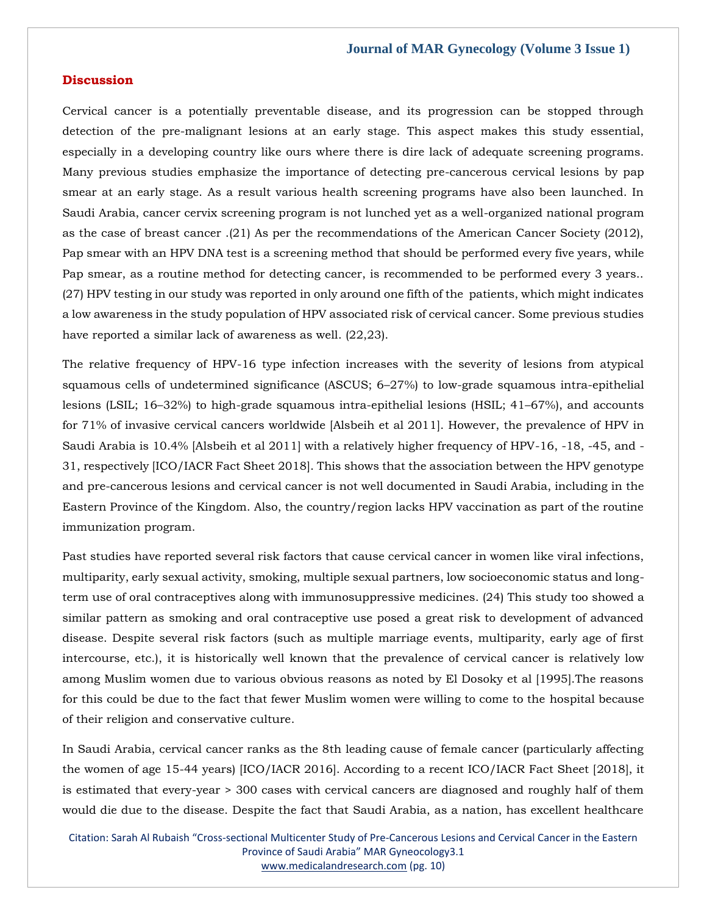### **Discussion**

Cervical cancer is a potentially preventable disease, and its progression can be stopped through detection of the pre-malignant lesions at an early stage. This aspect makes this study essential, especially in a developing country like ours where there is dire lack of adequate screening programs. Many previous studies emphasize the importance of detecting pre-cancerous cervical lesions by pap smear at an early stage. As a result various health screening programs have also been launched. In Saudi Arabia, cancer cervix screening program is not lunched yet as a well-organized national program as the case of breast cancer .(21) As per the recommendations of the American Cancer Society (2012), Pap smear with an HPV DNA test is a screening method that should be performed every five years, while Pap smear, as a routine method for detecting cancer, is recommended to be performed every 3 years.. (27) HPV testing in our study was reported in only around one fifth of the patients, which might indicates a low awareness in the study population of HPV associated risk of cervical cancer. Some previous studies have reported a similar lack of awareness as well. (22,23).

The relative frequency of HPV-16 type infection increases with the severity of lesions from atypical squamous cells of undetermined significance (ASCUS; 6–27%) to low-grade squamous intra-epithelial lesions (LSIL; 16–32%) to high-grade squamous intra-epithelial lesions (HSIL; 41–67%), and accounts for 71% of invasive cervical cancers worldwide [Alsbeih et al 2011]. However, the prevalence of HPV in Saudi Arabia is 10.4% [Alsbeih et al 2011] with a relatively higher frequency of HPV-16, -18, -45, and - 31, respectively [ICO/IACR Fact Sheet 2018]. This shows that the association between the HPV genotype and pre-cancerous lesions and cervical cancer is not well documented in Saudi Arabia, including in the Eastern Province of the Kingdom. Also, the country/region lacks HPV vaccination as part of the routine immunization program.

Past studies have reported several risk factors that cause cervical cancer in women like viral infections, multiparity, early sexual activity, smoking, multiple sexual partners, low socioeconomic status and longterm use of oral contraceptives along with immunosuppressive medicines. (24) This study too showed a similar pattern as smoking and oral contraceptive use posed a great risk to development of advanced disease. Despite several risk factors (such as multiple marriage events, multiparity, early age of first intercourse, etc.), it is historically well known that the prevalence of cervical cancer is relatively low among Muslim women due to various obvious reasons as noted by El Dosoky et al [1995].The reasons for this could be due to the fact that fewer Muslim women were willing to come to the hospital because of their religion and conservative culture.

In Saudi Arabia, cervical cancer ranks as the 8th leading cause of female cancer (particularly affecting the women of age 15-44 years) [ICO/IACR 2016]. According to a recent ICO/IACR Fact Sheet [2018], it is estimated that every-year > 300 cases with cervical cancers are diagnosed and roughly half of them would die due to the disease. Despite the fact that Saudi Arabia, as a nation, has excellent healthcare

Citation: Sarah Al Rubaish "Cross-sectional Multicenter Study of Pre-Cancerous Lesions and Cervical Cancer in the Eastern Province of Saudi Arabia" MAR Gyneocology3.1 [www.medicalandresearch.com](http://www.medicalandresearch.com/) (pg. 10)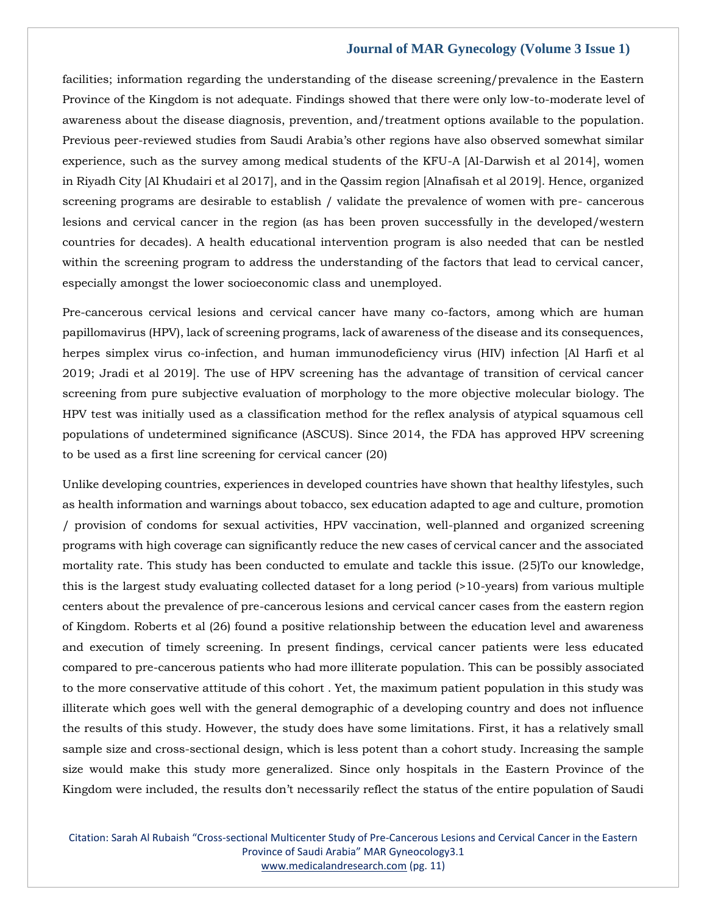facilities; information regarding the understanding of the disease screening/prevalence in the Eastern Province of the Kingdom is not adequate. Findings showed that there were only low-to-moderate level of awareness about the disease diagnosis, prevention, and/treatment options available to the population. Previous peer-reviewed studies from Saudi Arabia's other regions have also observed somewhat similar experience, such as the survey among medical students of the KFU-A [Al-Darwish et al 2014], women in Riyadh City [Al Khudairi et al 2017], and in the Qassim region [Alnafisah et al 2019]. Hence, organized screening programs are desirable to establish / validate the prevalence of women with pre- cancerous lesions and cervical cancer in the region (as has been proven successfully in the developed/western countries for decades). A health educational intervention program is also needed that can be nestled within the screening program to address the understanding of the factors that lead to cervical cancer, especially amongst the lower socioeconomic class and unemployed.

Pre-cancerous cervical lesions and cervical cancer have many co-factors, among which are human papillomavirus (HPV), lack of screening programs, lack of awareness of the disease and its consequences, herpes simplex virus co-infection, and human immunodeficiency virus (HIV) infection [Al Harfi et al 2019; Jradi et al 2019]. The use of HPV screening has the advantage of transition of cervical cancer screening from pure subjective evaluation of morphology to the more objective molecular biology. The HPV test was initially used as a classification method for the reflex analysis of atypical squamous cell populations of undetermined significance (ASCUS). Since 2014, the FDA has approved HPV screening to be used as a first line screening for cervical cancer (20)

Unlike developing countries, experiences in developed countries have shown that healthy lifestyles, such as health information and warnings about tobacco, sex education adapted to age and culture, promotion / provision of condoms for sexual activities, HPV vaccination, well-planned and organized screening programs with high coverage can significantly reduce the new cases of cervical cancer and the associated mortality rate. This study has been conducted to emulate and tackle this issue. (25)To our knowledge, this is the largest study evaluating collected dataset for a long period (>10-years) from various multiple centers about the prevalence of pre-cancerous lesions and cervical cancer cases from the eastern region of Kingdom. Roberts et al (26) found a positive relationship between the education level and awareness and execution of timely screening. In present findings, cervical cancer patients were less educated compared to pre-cancerous patients who had more illiterate population. This can be possibly associated to the more conservative attitude of this cohort . Yet, the maximum patient population in this study was illiterate which goes well with the general demographic of a developing country and does not influence the results of this study. However, the study does have some limitations. First, it has a relatively small sample size and cross-sectional design, which is less potent than a cohort study. Increasing the sample size would make this study more generalized. Since only hospitals in the Eastern Province of the Kingdom were included, the results don't necessarily reflect the status of the entire population of Saudi

Citation: Sarah Al Rubaish "Cross-sectional Multicenter Study of Pre-Cancerous Lesions and Cervical Cancer in the Eastern Province of Saudi Arabia" MAR Gyneocology3.1 [www.medicalandresearch.com](http://www.medicalandresearch.com/) (pg. 11)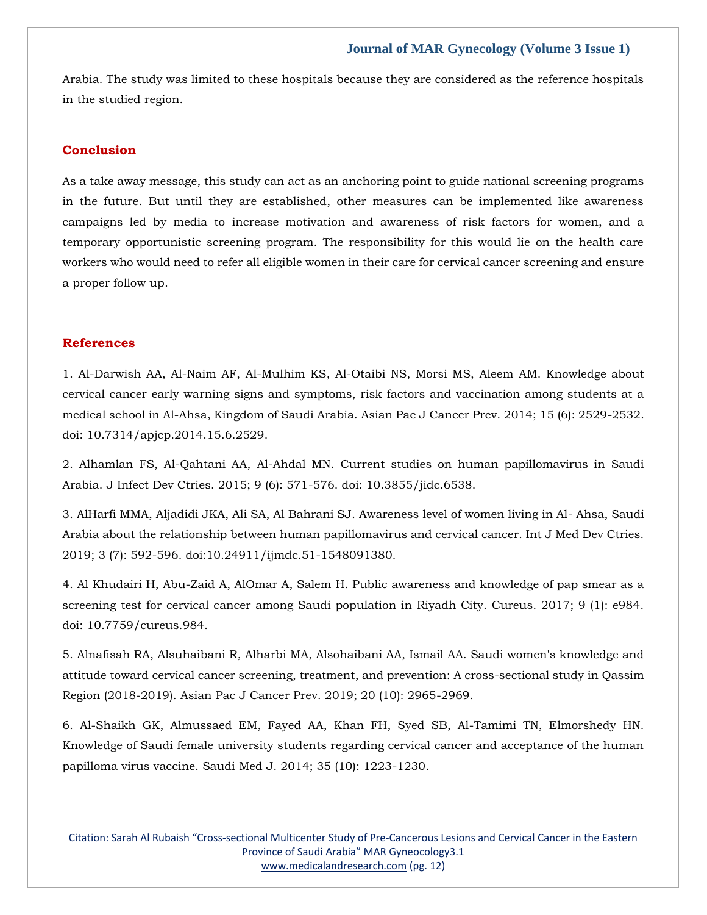Arabia. The study was limited to these hospitals because they are considered as the reference hospitals in the studied region.

### **Conclusion**

As a take away message, this study can act as an anchoring point to guide national screening programs in the future. But until they are established, other measures can be implemented like awareness campaigns led by media to increase motivation and awareness of risk factors for women, and a temporary opportunistic screening program. The responsibility for this would lie on the health care workers who would need to refer all eligible women in their care for cervical cancer screening and ensure a proper follow up.

### **References**

[1. Al-Darwish AA, Al-Naim AF, Al-Mulhim KS, Al-Otaibi NS, Morsi MS, Aleem](https://www.google.com/search?q=Knowledge+about+cervical+cancer+early+warning+signs+and+symptoms%2C+risk+factors+and+vaccination+among+students+at+a+medical+school+in+Al-Ahsa%2C+Kingdom+of+Saudi+Arabia&oq=Knowledge+about+cervical+cancer+early+warning+signs+and+symptoms%2C+risk+factors+and+vaccination+among+students+at+a+medical+school+in+Al-Ahsa%2C+Kingdom+of+Saudi+Arabia&aqs=chrome..69i57.454j0j7&sourceid=chrome&ie=UTF-8) AM. Knowledge about [cervical cancer early warning signs and symptoms, risk factors and vaccination among students at a](https://www.google.com/search?q=Knowledge+about+cervical+cancer+early+warning+signs+and+symptoms%2C+risk+factors+and+vaccination+among+students+at+a+medical+school+in+Al-Ahsa%2C+Kingdom+of+Saudi+Arabia&oq=Knowledge+about+cervical+cancer+early+warning+signs+and+symptoms%2C+risk+factors+and+vaccination+among+students+at+a+medical+school+in+Al-Ahsa%2C+Kingdom+of+Saudi+Arabia&aqs=chrome..69i57.454j0j7&sourceid=chrome&ie=UTF-8)  [medical school in Al-Ahsa, Kingdom of Saudi Arabia. Asian Pac J Cancer Prev. 2014; 15 \(6\): 2529-2532.](https://www.google.com/search?q=Knowledge+about+cervical+cancer+early+warning+signs+and+symptoms%2C+risk+factors+and+vaccination+among+students+at+a+medical+school+in+Al-Ahsa%2C+Kingdom+of+Saudi+Arabia&oq=Knowledge+about+cervical+cancer+early+warning+signs+and+symptoms%2C+risk+factors+and+vaccination+among+students+at+a+medical+school+in+Al-Ahsa%2C+Kingdom+of+Saudi+Arabia&aqs=chrome..69i57.454j0j7&sourceid=chrome&ie=UTF-8)  [doi: 10.7314/apjcp.2014.15.6.2529.](https://www.google.com/search?q=Knowledge+about+cervical+cancer+early+warning+signs+and+symptoms%2C+risk+factors+and+vaccination+among+students+at+a+medical+school+in+Al-Ahsa%2C+Kingdom+of+Saudi+Arabia&oq=Knowledge+about+cervical+cancer+early+warning+signs+and+symptoms%2C+risk+factors+and+vaccination+among+students+at+a+medical+school+in+Al-Ahsa%2C+Kingdom+of+Saudi+Arabia&aqs=chrome..69i57.454j0j7&sourceid=chrome&ie=UTF-8)

[2. Alhamlan FS, Al-Qahtani AA, Al-Ahdal MN. Current studies](https://www.google.com/search?q=Current+studies+on+human+papillomavirus+in+Saudi+Arabia.+&sxsrf=APq-WBt2RwA4K00WTEoaf-TFzijICNoaLg%3A1649829099419&ei=62RWYpaZGeW0mge_sb2oDw&ved=0ahUKEwjWuqSrrJD3AhVlmuYKHb9YD_UQ4dUDCA4&oq=Current+studies+on+human+papillomavirus+in+Saudi+Arabia.+&gs_lcp=Cgdnd3Mtd2l6EAwyBQghEKABMgUIIRCgATIFCCEQoAE6BwgjEOoCECdKBAhBGABKBAhGGABQuwNYuwNgtAdoAXAAeACAAbEBiAGxAZIBAzAuMZgBAKABAaABArABCsABAQ&sclient=gws-wiz) on human papillomavirus in Saudi [Arabia. J Infect Dev Ctries. 2015; 9 \(6\): 571-576. doi: 10.3855/jidc.6538.](https://www.google.com/search?q=Current+studies+on+human+papillomavirus+in+Saudi+Arabia.+&sxsrf=APq-WBt2RwA4K00WTEoaf-TFzijICNoaLg%3A1649829099419&ei=62RWYpaZGeW0mge_sb2oDw&ved=0ahUKEwjWuqSrrJD3AhVlmuYKHb9YD_UQ4dUDCA4&oq=Current+studies+on+human+papillomavirus+in+Saudi+Arabia.+&gs_lcp=Cgdnd3Mtd2l6EAwyBQghEKABMgUIIRCgATIFCCEQoAE6BwgjEOoCECdKBAhBGABKBAhGGABQuwNYuwNgtAdoAXAAeACAAbEBiAGxAZIBAzAuMZgBAKABAaABArABCsABAQ&sclient=gws-wiz)

[3. AlHarfi MMA, Aljadidi JKA, Ali SA, Al Bahrani SJ. Awareness level of women living in Al-](https://www.google.com/search?q=Awareness+level+of+women+living+in+Al-+Ahsa%2C+Saudi+Arabia+about+the+relationship+between+human+papillomavirus+and+cervical+cancer&sxsrf=APq-WBuCtofe7wam-op1SyFRjk0dxCbF9Q%3A1649829177217&ei=OWVWYtTsDLvXz7sPmcSDoAQ&ved=0ahUKEwiU7bDQrJD3AhW763MBHRniAEQQ4dUDCA4&oq=Awareness+level+of+women+living+in+Al-+Ahsa%2C+Saudi+Arabia+about+the+relationship+between+human+papillomavirus+and+cervical+cancer&gs_lcp=Cgdnd3Mtd2l6EAwyBwgjEOoCECcyBwgjEOoCECcyBwgjEOoCECcyBwgjEOoCECcyBwgjEOoCECcyBwgjEOoCECcyBwgjEOoCECcyBwgjEOoCECcyBwgjEOoCECcyBwgjEOoCECdKBAhBGABKBAhGGABQ5QJY5QJghgdoAXAAeACAAQCIAQCSAQCYAQCgAQGgAQKwAQrAAQE&sclient=gws-wiz) Ahsa, Saudi [Arabia about the relationship between human papillomavirus and cervical cancer. Int J Med Dev Ctries.](https://www.google.com/search?q=Awareness+level+of+women+living+in+Al-+Ahsa%2C+Saudi+Arabia+about+the+relationship+between+human+papillomavirus+and+cervical+cancer&sxsrf=APq-WBuCtofe7wam-op1SyFRjk0dxCbF9Q%3A1649829177217&ei=OWVWYtTsDLvXz7sPmcSDoAQ&ved=0ahUKEwiU7bDQrJD3AhW763MBHRniAEQQ4dUDCA4&oq=Awareness+level+of+women+living+in+Al-+Ahsa%2C+Saudi+Arabia+about+the+relationship+between+human+papillomavirus+and+cervical+cancer&gs_lcp=Cgdnd3Mtd2l6EAwyBwgjEOoCECcyBwgjEOoCECcyBwgjEOoCECcyBwgjEOoCECcyBwgjEOoCECcyBwgjEOoCECcyBwgjEOoCECcyBwgjEOoCECcyBwgjEOoCECcyBwgjEOoCECdKBAhBGABKBAhGGABQ5QJY5QJghgdoAXAAeACAAQCIAQCSAQCYAQCgAQGgAQKwAQrAAQE&sclient=gws-wiz)  [2019; 3 \(7\): 592-596. doi:10.24911/ijmdc.51-1548091380.](https://www.google.com/search?q=Awareness+level+of+women+living+in+Al-+Ahsa%2C+Saudi+Arabia+about+the+relationship+between+human+papillomavirus+and+cervical+cancer&sxsrf=APq-WBuCtofe7wam-op1SyFRjk0dxCbF9Q%3A1649829177217&ei=OWVWYtTsDLvXz7sPmcSDoAQ&ved=0ahUKEwiU7bDQrJD3AhW763MBHRniAEQQ4dUDCA4&oq=Awareness+level+of+women+living+in+Al-+Ahsa%2C+Saudi+Arabia+about+the+relationship+between+human+papillomavirus+and+cervical+cancer&gs_lcp=Cgdnd3Mtd2l6EAwyBwgjEOoCECcyBwgjEOoCECcyBwgjEOoCECcyBwgjEOoCECcyBwgjEOoCECcyBwgjEOoCECcyBwgjEOoCECcyBwgjEOoCECcyBwgjEOoCECcyBwgjEOoCECdKBAhBGABKBAhGGABQ5QJY5QJghgdoAXAAeACAAQCIAQCSAQCYAQCgAQGgAQKwAQrAAQE&sclient=gws-wiz)

[4. Al Khudairi H, Abu-Zaid A, AlOmar A, Salem H. Public awareness and knowledge of pap smear as a](https://www.google.com/search?q=Public+awareness+and+knowledge+of+pap+smear+as+a+screening+test+for+cervical+cancer+among+Saudi+population+in+Riyadh+City&sxsrf=APq-WBtyuNP_p7pDkwwf66J4boTcqe_V6A%3A1649829193202&ei=SWVWYrTiC-jaz7sPyf-BwA8&ved=0ahUKEwj0qoDYrJD3AhVo7XMBHcl_APgQ4dUDCA4&oq=Public+awareness+and+knowledge+of+pap+smear+as+a+screening+test+for+cervical+cancer+among+Saudi+population+in+Riyadh+City&gs_lcp=Cgdnd3Mtd2l6EAwyBwgjEOoCECcyBwgjEOoCECcyBwgjEOoCECcyBwgjEOoCECcyBwgjEOoCECcyBwgjEOoCECcyBwgjEOoCECcyBwgjEOoCECcyBwgjEOoCECcyBwgjEOoCECdKBAhBGABKBAhGGABQ8wJY8wJg4wdoAXAAeACAAQCIAQCSAQCYAQCgAQGgAQKwAQrAAQE&sclient=gws-wiz)  [screening test for cervical cancer among Saudi population in Riyadh City. Cureus. 2017; 9 \(1\): e984.](https://www.google.com/search?q=Public+awareness+and+knowledge+of+pap+smear+as+a+screening+test+for+cervical+cancer+among+Saudi+population+in+Riyadh+City&sxsrf=APq-WBtyuNP_p7pDkwwf66J4boTcqe_V6A%3A1649829193202&ei=SWVWYrTiC-jaz7sPyf-BwA8&ved=0ahUKEwj0qoDYrJD3AhVo7XMBHcl_APgQ4dUDCA4&oq=Public+awareness+and+knowledge+of+pap+smear+as+a+screening+test+for+cervical+cancer+among+Saudi+population+in+Riyadh+City&gs_lcp=Cgdnd3Mtd2l6EAwyBwgjEOoCECcyBwgjEOoCECcyBwgjEOoCECcyBwgjEOoCECcyBwgjEOoCECcyBwgjEOoCECcyBwgjEOoCECcyBwgjEOoCECcyBwgjEOoCECcyBwgjEOoCECdKBAhBGABKBAhGGABQ8wJY8wJg4wdoAXAAeACAAQCIAQCSAQCYAQCgAQGgAQKwAQrAAQE&sclient=gws-wiz)  [doi: 10.7759/cureus.984.](https://www.google.com/search?q=Public+awareness+and+knowledge+of+pap+smear+as+a+screening+test+for+cervical+cancer+among+Saudi+population+in+Riyadh+City&sxsrf=APq-WBtyuNP_p7pDkwwf66J4boTcqe_V6A%3A1649829193202&ei=SWVWYrTiC-jaz7sPyf-BwA8&ved=0ahUKEwj0qoDYrJD3AhVo7XMBHcl_APgQ4dUDCA4&oq=Public+awareness+and+knowledge+of+pap+smear+as+a+screening+test+for+cervical+cancer+among+Saudi+population+in+Riyadh+City&gs_lcp=Cgdnd3Mtd2l6EAwyBwgjEOoCECcyBwgjEOoCECcyBwgjEOoCECcyBwgjEOoCECcyBwgjEOoCECcyBwgjEOoCECcyBwgjEOoCECcyBwgjEOoCECcyBwgjEOoCECcyBwgjEOoCECdKBAhBGABKBAhGGABQ8wJY8wJg4wdoAXAAeACAAQCIAQCSAQCYAQCgAQGgAQKwAQrAAQE&sclient=gws-wiz)

[5. Alnafisah RA, Alsuhaibani R, Alharbi MA, Alsohaibani AA, Ismail AA. Saudi women's knowledge and](https://www.google.com/search?q=Saudi+women%27s+knowledge+and+attitude+toward+cervical+cancer+screening%2C+treatment%2C+and+prevention%3A+A+cross-sectional+study+in+Qassim+Region+%282018-2019%29.&sxsrf=APq-WBvomIVdZo78IKunmCfgAyedlLa9ew%3A1649829319084&ei=x2VWYoztBJXEz7sP1-6U0A0&ved=0ahUKEwjM7IOUrZD3AhUV4nMBHVc3BdoQ4dUDCA4&oq=Saudi+women%27s+knowledge+and+attitude+toward+cervical+cancer+screening%2C+treatment%2C+and+prevention%3A+A+cross-sectional+study+in+Qassim+Region+%282018-2019%29.&gs_lcp=Cgdnd3Mtd2l6EAwyBwgjEOoCECcyBwgjEOoCECcyBwgjEOoCECcyBwgjEOoCECcyBwgjEOoCECcyBwgjEOoCECcyBwgjEOoCECcyBwgjEOoCECcyBwgjEOoCECcyBwgjEOoCECdKBAhBGABKBAhGGABQwQJYwQJghgdoAXAAeACAAQCIAQCSAQCYAQCgAQGgAQKwAQrAAQE&sclient=gws-wiz)  [attitude toward cervical cancer screening, treatment, and prevention: A cross-sectional study in Qassim](https://www.google.com/search?q=Saudi+women%27s+knowledge+and+attitude+toward+cervical+cancer+screening%2C+treatment%2C+and+prevention%3A+A+cross-sectional+study+in+Qassim+Region+%282018-2019%29.&sxsrf=APq-WBvomIVdZo78IKunmCfgAyedlLa9ew%3A1649829319084&ei=x2VWYoztBJXEz7sP1-6U0A0&ved=0ahUKEwjM7IOUrZD3AhUV4nMBHVc3BdoQ4dUDCA4&oq=Saudi+women%27s+knowledge+and+attitude+toward+cervical+cancer+screening%2C+treatment%2C+and+prevention%3A+A+cross-sectional+study+in+Qassim+Region+%282018-2019%29.&gs_lcp=Cgdnd3Mtd2l6EAwyBwgjEOoCECcyBwgjEOoCECcyBwgjEOoCECcyBwgjEOoCECcyBwgjEOoCECcyBwgjEOoCECcyBwgjEOoCECcyBwgjEOoCECcyBwgjEOoCECcyBwgjEOoCECdKBAhBGABKBAhGGABQwQJYwQJghgdoAXAAeACAAQCIAQCSAQCYAQCgAQGgAQKwAQrAAQE&sclient=gws-wiz)  [Region \(2018-2019\). Asian Pac J Cancer Prev. 2019; 20 \(10\): 2965-2969.](https://www.google.com/search?q=Saudi+women%27s+knowledge+and+attitude+toward+cervical+cancer+screening%2C+treatment%2C+and+prevention%3A+A+cross-sectional+study+in+Qassim+Region+%282018-2019%29.&sxsrf=APq-WBvomIVdZo78IKunmCfgAyedlLa9ew%3A1649829319084&ei=x2VWYoztBJXEz7sP1-6U0A0&ved=0ahUKEwjM7IOUrZD3AhUV4nMBHVc3BdoQ4dUDCA4&oq=Saudi+women%27s+knowledge+and+attitude+toward+cervical+cancer+screening%2C+treatment%2C+and+prevention%3A+A+cross-sectional+study+in+Qassim+Region+%282018-2019%29.&gs_lcp=Cgdnd3Mtd2l6EAwyBwgjEOoCECcyBwgjEOoCECcyBwgjEOoCECcyBwgjEOoCECcyBwgjEOoCECcyBwgjEOoCECcyBwgjEOoCECcyBwgjEOoCECcyBwgjEOoCECcyBwgjEOoCECdKBAhBGABKBAhGGABQwQJYwQJghgdoAXAAeACAAQCIAQCSAQCYAQCgAQGgAQKwAQrAAQE&sclient=gws-wiz)

[6. Al-Shaikh GK, Almussaed EM, Fayed AA, Khan FH, Syed SB, Al-Tamimi TN, Elmorshedy HN.](https://www.google.com/search?q=Knowledge+of+Saudi+female+university+students+regarding+cervical+cancer+and+acceptance+of+the+human+papilloma+virus+vaccine&sxsrf=APq-WBsIPGDHMHJPqz04Vb_txjDNGnwwLQ%3A1649829334993&ei=1mVWYrmiPO3fz7sP3eW0oAI&ved=0ahUKEwi55c6brZD3AhXt73MBHd0yDSQQ4dUDCA4&oq=Knowledge+of+Saudi+female+university+students+regarding+cervical+cancer+and+acceptance+of+the+human+papilloma+virus+vaccine&gs_lcp=Cgdnd3Mtd2l6EAwyBwgjEOoCECcyBwgjEOoCECcyBwgjEOoCECcyBwgjEOoCECcyBwgjEOoCECcyBwgjEOoCECcyBwgjEOoCECcyBwgjEOoCECcyBwgjEOoCECcyBwgjEOoCECdKBAhBGABKBAhGGABQxwNYxwNgjwdoAXAAeACAAQCIAQCSAQCYAQCgAQGgAQKwAQrAAQE&sclient=gws-wiz)  [Knowledge of Saudi female university students regarding cervical cancer and acceptance of the human](https://www.google.com/search?q=Knowledge+of+Saudi+female+university+students+regarding+cervical+cancer+and+acceptance+of+the+human+papilloma+virus+vaccine&sxsrf=APq-WBsIPGDHMHJPqz04Vb_txjDNGnwwLQ%3A1649829334993&ei=1mVWYrmiPO3fz7sP3eW0oAI&ved=0ahUKEwi55c6brZD3AhXt73MBHd0yDSQQ4dUDCA4&oq=Knowledge+of+Saudi+female+university+students+regarding+cervical+cancer+and+acceptance+of+the+human+papilloma+virus+vaccine&gs_lcp=Cgdnd3Mtd2l6EAwyBwgjEOoCECcyBwgjEOoCECcyBwgjEOoCECcyBwgjEOoCECcyBwgjEOoCECcyBwgjEOoCECcyBwgjEOoCECcyBwgjEOoCECcyBwgjEOoCECcyBwgjEOoCECdKBAhBGABKBAhGGABQxwNYxwNgjwdoAXAAeACAAQCIAQCSAQCYAQCgAQGgAQKwAQrAAQE&sclient=gws-wiz)  [papilloma virus vaccine. Saudi Med J. 2014; 35 \(10\): 1223-1230.](https://www.google.com/search?q=Knowledge+of+Saudi+female+university+students+regarding+cervical+cancer+and+acceptance+of+the+human+papilloma+virus+vaccine&sxsrf=APq-WBsIPGDHMHJPqz04Vb_txjDNGnwwLQ%3A1649829334993&ei=1mVWYrmiPO3fz7sP3eW0oAI&ved=0ahUKEwi55c6brZD3AhXt73MBHd0yDSQQ4dUDCA4&oq=Knowledge+of+Saudi+female+university+students+regarding+cervical+cancer+and+acceptance+of+the+human+papilloma+virus+vaccine&gs_lcp=Cgdnd3Mtd2l6EAwyBwgjEOoCECcyBwgjEOoCECcyBwgjEOoCECcyBwgjEOoCECcyBwgjEOoCECcyBwgjEOoCECcyBwgjEOoCECcyBwgjEOoCECcyBwgjEOoCECcyBwgjEOoCECdKBAhBGABKBAhGGABQxwNYxwNgjwdoAXAAeACAAQCIAQCSAQCYAQCgAQGgAQKwAQrAAQE&sclient=gws-wiz)

Citation: Sarah Al Rubaish "Cross-sectional Multicenter Study of Pre-Cancerous Lesions and Cervical Cancer in the Eastern Province of Saudi Arabia" MAR Gyneocology3.1 [www.medicalandresearch.com](http://www.medicalandresearch.com/) (pg. 12)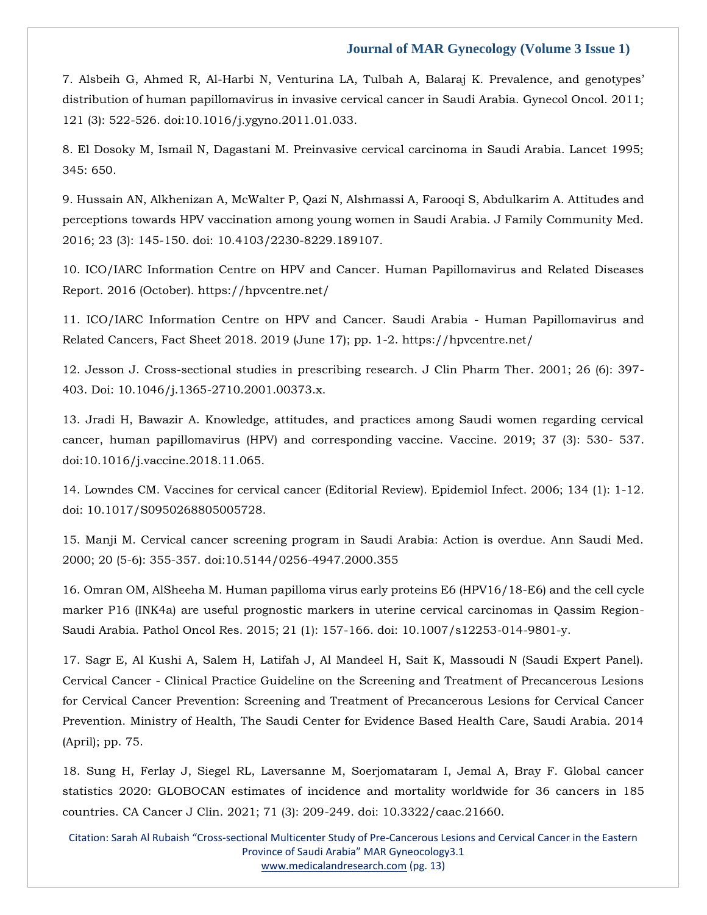7. Alsbeih G, Ahmed R, Al-[Harbi N, Venturina LA, Tulbah A, Balaraj K. Prevalence, and genotypes'](https://www.google.com/search?q=Prevalence%2C+and+genotypes%E2%80%99+distribution+of+human+papillomavirus+in+invasive+cervical+cancer+in+Saudi+Arabia&sxsrf=APq-WBvqkNXnRGhRbPyDXBvZ_r2KxwRX4A%3A1649829349786&ei=5WVWYtC-L5Djz7sP66COuAQ&ved=0ahUKEwiQxdWirZD3AhWQ8XMBHWuQA0cQ4dUDCA4&oq=Prevalence%2C+and+genotypes%E2%80%99+distribution+of+human+papillomavirus+in+invasive+cervical+cancer+in+Saudi+Arabia&gs_lcp=Cgdnd3Mtd2l6EAwyBwgjEOoCECcyBwgjEOoCECcyBwgjEOoCECcyBwgjEOoCECcyBwgjEOoCECcyBwgjEOoCECcyBwgjEOoCECcyBwgjEOoCECcyBwgjEOoCECcyBwgjEOoCECdKBAhBGABKBAhGGABQsQNYsQNgkQdoAXAAeACAAQCIAQCSAQCYAQCgAQGgAQKwAQrAAQE&sclient=gws-wiz)  [distribution of human papillomavirus in invasive cervical cancer in Saudi Arabia. Gynecol Oncol. 2011;](https://www.google.com/search?q=Prevalence%2C+and+genotypes%E2%80%99+distribution+of+human+papillomavirus+in+invasive+cervical+cancer+in+Saudi+Arabia&sxsrf=APq-WBvqkNXnRGhRbPyDXBvZ_r2KxwRX4A%3A1649829349786&ei=5WVWYtC-L5Djz7sP66COuAQ&ved=0ahUKEwiQxdWirZD3AhWQ8XMBHWuQA0cQ4dUDCA4&oq=Prevalence%2C+and+genotypes%E2%80%99+distribution+of+human+papillomavirus+in+invasive+cervical+cancer+in+Saudi+Arabia&gs_lcp=Cgdnd3Mtd2l6EAwyBwgjEOoCECcyBwgjEOoCECcyBwgjEOoCECcyBwgjEOoCECcyBwgjEOoCECcyBwgjEOoCECcyBwgjEOoCECcyBwgjEOoCECcyBwgjEOoCECcyBwgjEOoCECdKBAhBGABKBAhGGABQsQNYsQNgkQdoAXAAeACAAQCIAQCSAQCYAQCgAQGgAQKwAQrAAQE&sclient=gws-wiz)  [121 \(3\): 522-526. doi:10.1016/j.ygyno.2011.01.033.](https://www.google.com/search?q=Prevalence%2C+and+genotypes%E2%80%99+distribution+of+human+papillomavirus+in+invasive+cervical+cancer+in+Saudi+Arabia&sxsrf=APq-WBvqkNXnRGhRbPyDXBvZ_r2KxwRX4A%3A1649829349786&ei=5WVWYtC-L5Djz7sP66COuAQ&ved=0ahUKEwiQxdWirZD3AhWQ8XMBHWuQA0cQ4dUDCA4&oq=Prevalence%2C+and+genotypes%E2%80%99+distribution+of+human+papillomavirus+in+invasive+cervical+cancer+in+Saudi+Arabia&gs_lcp=Cgdnd3Mtd2l6EAwyBwgjEOoCECcyBwgjEOoCECcyBwgjEOoCECcyBwgjEOoCECcyBwgjEOoCECcyBwgjEOoCECcyBwgjEOoCECcyBwgjEOoCECcyBwgjEOoCECcyBwgjEOoCECdKBAhBGABKBAhGGABQsQNYsQNgkQdoAXAAeACAAQCIAQCSAQCYAQCgAQGgAQKwAQrAAQE&sclient=gws-wiz)

[8. El Dosoky M, Ismail N, Dagastani M. Preinvasive cervical carcinoma in Saudi Arabia. Lancet 1995;](https://www.google.com/search?q=Preinvasive+cervical+carcinoma+in+Saudi+Arabia&sxsrf=APq-WBvozv5NwUc3G2_QKI8lAyQoOa6VDQ%3A1649829398183&ei=FmZWYqvkCpvbz7sP8IWmuA8&ved=0ahUKEwirx9-5rZD3AhWb7XMBHfCCCfcQ4dUDCA4&oq=Preinvasive+cervical+carcinoma+in+Saudi+Arabia&gs_lcp=Cgdnd3Mtd2l6EAw6BwgjEOoCECdKBAhBGABKBAhGGABQ9QJY9QJgyAZoAXAAeACAAZIBiAGSAZIBAzAuMZgBAKABAaABArABCsABAQ&sclient=gws-wiz)  [345:](https://www.google.com/search?q=Preinvasive+cervical+carcinoma+in+Saudi+Arabia&sxsrf=APq-WBvozv5NwUc3G2_QKI8lAyQoOa6VDQ%3A1649829398183&ei=FmZWYqvkCpvbz7sP8IWmuA8&ved=0ahUKEwirx9-5rZD3AhWb7XMBHfCCCfcQ4dUDCA4&oq=Preinvasive+cervical+carcinoma+in+Saudi+Arabia&gs_lcp=Cgdnd3Mtd2l6EAw6BwgjEOoCECdKBAhBGABKBAhGGABQ9QJY9QJgyAZoAXAAeACAAZIBiAGSAZIBAzAuMZgBAKABAaABArABCsABAQ&sclient=gws-wiz) 650.

[9. Hussain AN, Alkhenizan A, McWalter P, Qazi N, Alshmassi A, Farooqi S, Abdulkarim A. Attitudes and](https://www.google.com/search?q=Attitudes+and+perceptions+towards+HPV+vaccination+among+young+women+in+Saudi+Arabia&sxsrf=APq-WBvD5uzLNdRjHn3DkaRQ1um8kpPlvQ%3A1649829412915&ei=JGZWYpe6N9nbz7sPtNmluAk&ved=0ahUKEwiX3OLArZD3AhXZ7XMBHbRsCZcQ4dUDCA4&oq=Attitudes+and+perceptions+towards+HPV+vaccination+among+young+women+in+Saudi+Arabia&gs_lcp=Cgdnd3Mtd2l6EAw6BwgjEOoCECdKBAhBGABKBAhGGABQ_gJY_gJg2AZoAXABeACAAVyIAVySAQExmAEAoAEBoAECsAEKwAEB&sclient=gws-wiz)  [perceptions towards HPV vaccination among young women in Saudi Arabia. J Family Community Med.](https://www.google.com/search?q=Attitudes+and+perceptions+towards+HPV+vaccination+among+young+women+in+Saudi+Arabia&sxsrf=APq-WBvD5uzLNdRjHn3DkaRQ1um8kpPlvQ%3A1649829412915&ei=JGZWYpe6N9nbz7sPtNmluAk&ved=0ahUKEwiX3OLArZD3AhXZ7XMBHbRsCZcQ4dUDCA4&oq=Attitudes+and+perceptions+towards+HPV+vaccination+among+young+women+in+Saudi+Arabia&gs_lcp=Cgdnd3Mtd2l6EAw6BwgjEOoCECdKBAhBGABKBAhGGABQ_gJY_gJg2AZoAXABeACAAVyIAVySAQExmAEAoAEBoAECsAEKwAEB&sclient=gws-wiz)  [2016; 23 \(3\): 145-150. doi: 10.4103/2230-8229.189107.](https://www.google.com/search?q=Attitudes+and+perceptions+towards+HPV+vaccination+among+young+women+in+Saudi+Arabia&sxsrf=APq-WBvD5uzLNdRjHn3DkaRQ1um8kpPlvQ%3A1649829412915&ei=JGZWYpe6N9nbz7sPtNmluAk&ved=0ahUKEwiX3OLArZD3AhXZ7XMBHbRsCZcQ4dUDCA4&oq=Attitudes+and+perceptions+towards+HPV+vaccination+among+young+women+in+Saudi+Arabia&gs_lcp=Cgdnd3Mtd2l6EAw6BwgjEOoCECdKBAhBGABKBAhGGABQ_gJY_gJg2AZoAXABeACAAVyIAVySAQExmAEAoAEBoAECsAEKwAEB&sclient=gws-wiz)

[10. ICO/IARC Information Centre on HPV and Cancer. Human Papillomavirus and Related Diseases](file:///C:/Users/Arief%20Mahimudh/Desktop/MARCH%20Proofs/10.%20ICO/IARC%20Information%20Centre%20on%20HPV%20and%20Cancer.%20Human%20Papillomavirus%20and%20Related%20Diseases%20Report.%202016%20(October).%20https:/hpvcentre.net/)  [Report. 2016 \(October\). https://hpvcentre.net/](file:///C:/Users/Arief%20Mahimudh/Desktop/MARCH%20Proofs/10.%20ICO/IARC%20Information%20Centre%20on%20HPV%20and%20Cancer.%20Human%20Papillomavirus%20and%20Related%20Diseases%20Report.%202016%20(October).%20https:/hpvcentre.net/)

[11. ICO/IARC Information Centre on HPV and Cancer. Saudi Arabia -](file:///C:/Users/Arief%20Mahimudh/Desktop/MARCH%20Proofs/11.%20ICO/IARC%20Information%20Centre%20on%20HPV%20and%20Cancer.%20Saudi%20Arabia%20-%20Human%20Papillomavirus%20and%20Related%20Cancers,%20Fact%20Sheet%202018.%202019%20(June%2017);%20pp.%201-2.%20https:/hpvcentre.net/) Human Papillomavirus and [Related Cancers, Fact Sheet 2018. 2019 \(June 17\); pp. 1-2. https://hpvcentre.net/](file:///C:/Users/Arief%20Mahimudh/Desktop/MARCH%20Proofs/11.%20ICO/IARC%20Information%20Centre%20on%20HPV%20and%20Cancer.%20Saudi%20Arabia%20-%20Human%20Papillomavirus%20and%20Related%20Cancers,%20Fact%20Sheet%202018.%202019%20(June%2017);%20pp.%201-2.%20https:/hpvcentre.net/)

[12. Jesson J. Cross-sectional studies in prescribing research. J Clin Pharm Ther. 2001; 26 \(6\): 397-](https://www.google.com/search?q=Cross-sectional+studies+in+prescribing+research&sxsrf=APq-WBuN12FbWCuhtKWtFwpwUm7buouedA%3A1649829426928&ei=MmZWYt6nOInXz7sPlO2QeA&ved=0ahUKEwjeiLrHrZD3AhWJ63MBHZQ2BA8Q4dUDCA4&oq=Cross-sectional+studies+in+prescribing+research&gs_lcp=Cgdnd3Mtd2l6EAwyCAghEBYQHRAeMggIIRAWEB0QHjIICCEQFhAdEB4yCAghEBYQHRAeOgcIIxDqAhAnSgQIQRgASgQIRhgAUMsGWMsGYNMJaAFwAXgAgAFsiAFskgEDMC4xmAEAoAEBoAECsAEKwAEB&sclient=gws-wiz) [403. Doi: 10.1046/j.1365-2710.2001.00373.x.](https://www.google.com/search?q=Cross-sectional+studies+in+prescribing+research&sxsrf=APq-WBuN12FbWCuhtKWtFwpwUm7buouedA%3A1649829426928&ei=MmZWYt6nOInXz7sPlO2QeA&ved=0ahUKEwjeiLrHrZD3AhWJ63MBHZQ2BA8Q4dUDCA4&oq=Cross-sectional+studies+in+prescribing+research&gs_lcp=Cgdnd3Mtd2l6EAwyCAghEBYQHRAeMggIIRAWEB0QHjIICCEQFhAdEB4yCAghEBYQHRAeOgcIIxDqAhAnSgQIQRgASgQIRhgAUMsGWMsGYNMJaAFwAXgAgAFsiAFskgEDMC4xmAEAoAEBoAECsAEKwAEB&sclient=gws-wiz)

[13. Jradi H, Bawazir A. Knowledge, attitudes, and practices among Saudi women regarding cervical](https://www.google.com/search?q=Knowledge%2C+attitudes%2C+and+practices+among+Saudi+women+regarding+cervical+cancer%2C+human+papillomavirus+%28HPV%29+and+corresponding+vaccine.+&sxsrf=APq-WBucwaRI66KIbyIhtiL9FmUCxBPcPA%3A1649829513237&ei=iWZWYvSMDryD4t4PhbC-2A4&ved=0ahUKEwi09c3wrZD3AhW8gdgFHQWYD-sQ4dUDCA4&oq=Knowledge%2C+attitudes%2C+and+practices+among+Saudi+women+regarding+cervical+cancer%2C+human+papillomavirus+%28HPV%29+and+corresponding+vaccine.+&gs_lcp=Cgdnd3Mtd2l6EAwyBwgjEOoCECcyBwgjEOoCECcyBwgjEOoCECcyBwgjEOoCECcyBwgjEOoCECcyBwgjEOoCECcyBwgjEOoCECcyBwgjEOoCECcyBwgjEOoCECcyBwgjEOoCECdKBAhBGABKBAhGGABQ9AJY9AJgnQdoAXAAeACAAQCIAQCSAQCYAQCgAQGgAQKwAQrAAQE&sclient=gws-wiz)  [cancer, human papillomavirus \(HPV\) and corresponding vaccine. Vaccine. 2019; 37 \(3\): 530-](https://www.google.com/search?q=Knowledge%2C+attitudes%2C+and+practices+among+Saudi+women+regarding+cervical+cancer%2C+human+papillomavirus+%28HPV%29+and+corresponding+vaccine.+&sxsrf=APq-WBucwaRI66KIbyIhtiL9FmUCxBPcPA%3A1649829513237&ei=iWZWYvSMDryD4t4PhbC-2A4&ved=0ahUKEwi09c3wrZD3AhW8gdgFHQWYD-sQ4dUDCA4&oq=Knowledge%2C+attitudes%2C+and+practices+among+Saudi+women+regarding+cervical+cancer%2C+human+papillomavirus+%28HPV%29+and+corresponding+vaccine.+&gs_lcp=Cgdnd3Mtd2l6EAwyBwgjEOoCECcyBwgjEOoCECcyBwgjEOoCECcyBwgjEOoCECcyBwgjEOoCECcyBwgjEOoCECcyBwgjEOoCECcyBwgjEOoCECcyBwgjEOoCECcyBwgjEOoCECdKBAhBGABKBAhGGABQ9AJY9AJgnQdoAXAAeACAAQCIAQCSAQCYAQCgAQGgAQKwAQrAAQE&sclient=gws-wiz) 537. [doi:10.1016/j.vaccine.2018.11.065.](https://www.google.com/search?q=Knowledge%2C+attitudes%2C+and+practices+among+Saudi+women+regarding+cervical+cancer%2C+human+papillomavirus+%28HPV%29+and+corresponding+vaccine.+&sxsrf=APq-WBucwaRI66KIbyIhtiL9FmUCxBPcPA%3A1649829513237&ei=iWZWYvSMDryD4t4PhbC-2A4&ved=0ahUKEwi09c3wrZD3AhW8gdgFHQWYD-sQ4dUDCA4&oq=Knowledge%2C+attitudes%2C+and+practices+among+Saudi+women+regarding+cervical+cancer%2C+human+papillomavirus+%28HPV%29+and+corresponding+vaccine.+&gs_lcp=Cgdnd3Mtd2l6EAwyBwgjEOoCECcyBwgjEOoCECcyBwgjEOoCECcyBwgjEOoCECcyBwgjEOoCECcyBwgjEOoCECcyBwgjEOoCECcyBwgjEOoCECcyBwgjEOoCECcyBwgjEOoCECdKBAhBGABKBAhGGABQ9AJY9AJgnQdoAXAAeACAAQCIAQCSAQCYAQCgAQGgAQKwAQrAAQE&sclient=gws-wiz)

[14. Lowndes CM. Vaccines for cervical cancer \(Editorial Review\). Epidemiol Infect. 2006; 134 \(1\): 1-12.](https://www.google.com/search?q=Vaccines+for+cervical+cancer+%28Editorial+Review%29.&sxsrf=APq-WBt3_sxuCnhbuTEyjVCf0R-Z0CbiNQ%3A1649829535223&ei=n2ZWYp2fDdSa4t4P4OK0sAg&ved=0ahUKEwjd6ov7rZD3AhVUjdgFHWAxDYYQ4dUDCA4&oq=Vaccines+for+cervical+cancer+%28Editorial+Review%29.&gs_lcp=Cgdnd3Mtd2l6EAwyCAghEBYQHRAeOgcIIxDqAhAnSgQIQRgASgQIRhgAUNQCWNQCYIYGaAFwAHgAgAFliAFlkgEDMC4xmAEAoAEBoAECsAEKwAEB&sclient=gws-wiz)  [doi: 10.1017/S0950268805005728.](https://www.google.com/search?q=Vaccines+for+cervical+cancer+%28Editorial+Review%29.&sxsrf=APq-WBt3_sxuCnhbuTEyjVCf0R-Z0CbiNQ%3A1649829535223&ei=n2ZWYp2fDdSa4t4P4OK0sAg&ved=0ahUKEwjd6ov7rZD3AhVUjdgFHWAxDYYQ4dUDCA4&oq=Vaccines+for+cervical+cancer+%28Editorial+Review%29.&gs_lcp=Cgdnd3Mtd2l6EAwyCAghEBYQHRAeOgcIIxDqAhAnSgQIQRgASgQIRhgAUNQCWNQCYIYGaAFwAHgAgAFliAFlkgEDMC4xmAEAoAEBoAECsAEKwAEB&sclient=gws-wiz)

[15. Manji M. Cervical cancer screening program in Saudi Arabia: Action is overdue. Ann Saudi Med.](https://www.google.com/search?q=Cervical+cancer+screening+program+in+Saudi+Arabia%3A+Action+is+overdue&sxsrf=APq-WBtgxbv3sW8u41iNedTiMFCtqS06UA%3A1649829769227&ei=iWdWYvDBDbXD3LUPu_KV4Ac&ved=0ahUKEwiwqtbqrpD3AhW1IbcAHTt5BXwQ4dUDCA4&oq=Cervical+cancer+screening+program+in+Saudi+Arabia%3A+Action+is+overdue&gs_lcp=Cgdnd3Mtd2l6EAw6BwgjEOoCECdKBAhBGABKBAhGGABQ6gFY6gFgvAVoAXABeACAAXKIAXKSAQMwLjGYAQCgAQGgAQKwAQrAAQE&sclient=gws-wiz)  [2000; 20 \(5-6\): 355-357. doi:10.5144/0256-4947.2000.355](https://www.google.com/search?q=Cervical+cancer+screening+program+in+Saudi+Arabia%3A+Action+is+overdue&sxsrf=APq-WBtgxbv3sW8u41iNedTiMFCtqS06UA%3A1649829769227&ei=iWdWYvDBDbXD3LUPu_KV4Ac&ved=0ahUKEwiwqtbqrpD3AhW1IbcAHTt5BXwQ4dUDCA4&oq=Cervical+cancer+screening+program+in+Saudi+Arabia%3A+Action+is+overdue&gs_lcp=Cgdnd3Mtd2l6EAw6BwgjEOoCECdKBAhBGABKBAhGGABQ6gFY6gFgvAVoAXABeACAAXKIAXKSAQMwLjGYAQCgAQGgAQKwAQrAAQE&sclient=gws-wiz)

[16. Omran OM, AlSheeha M. Human papilloma virus early proteins E6 \(HPV16/18-E6\) and the cell cycle](https://www.google.com/search?q=Human+papilloma+virus+early+proteins+E6+%28HPV16%2F18-E6%29+and+the+cell+cycle+marker+P16+%28INK4a%29+are+useful+prognostic+markers+in+uterine+cervical+carcinomas+in+Qassim+Region-Saudi+Arabia&sxsrf=APq-WBu-aQReZcA92idkYppmkwMZc0d1mQ%3A1649829790537&ei=nmdWYvi3IJbiz7sP5cShkAc&ved=0ahUKEwj4_ur0rpD3AhUW8XMBHWViCHIQ4dUDCA4&oq=Human+papilloma+virus+early+proteins+E6+%28HPV16%2F18-E6%29+and+the+cell+cycle+marker+P16+%28INK4a%29+are+useful+prognostic+markers+in+uterine+cervical+carcinomas+in+Qassim+Region-Saudi+Arabia&gs_lcp=Cgdnd3Mtd2l6EAwyBwgjEOoCECcyBwgjEOoCECcyBwgjEOoCECcyBwgjEOoCECcyBwgjEOoCECcyBwgjEOoCECcyBwgjEOoCECcyBwgjEOoCECcyBwgjEOoCECcyBwgjEOoCECdKBAhBGABKBAhGGABQ5QJY5QJgmQZoAXAAeACAAQCIAQCSAQCYAQCgAQGgAQKwAQrAAQE&sclient=gws-wiz)  [marker P16 \(INK4a\) are useful prognostic markers in uterine cervical carcinomas in Qassim Region-](https://www.google.com/search?q=Human+papilloma+virus+early+proteins+E6+%28HPV16%2F18-E6%29+and+the+cell+cycle+marker+P16+%28INK4a%29+are+useful+prognostic+markers+in+uterine+cervical+carcinomas+in+Qassim+Region-Saudi+Arabia&sxsrf=APq-WBu-aQReZcA92idkYppmkwMZc0d1mQ%3A1649829790537&ei=nmdWYvi3IJbiz7sP5cShkAc&ved=0ahUKEwj4_ur0rpD3AhUW8XMBHWViCHIQ4dUDCA4&oq=Human+papilloma+virus+early+proteins+E6+%28HPV16%2F18-E6%29+and+the+cell+cycle+marker+P16+%28INK4a%29+are+useful+prognostic+markers+in+uterine+cervical+carcinomas+in+Qassim+Region-Saudi+Arabia&gs_lcp=Cgdnd3Mtd2l6EAwyBwgjEOoCECcyBwgjEOoCECcyBwgjEOoCECcyBwgjEOoCECcyBwgjEOoCECcyBwgjEOoCECcyBwgjEOoCECcyBwgjEOoCECcyBwgjEOoCECcyBwgjEOoCECdKBAhBGABKBAhGGABQ5QJY5QJgmQZoAXAAeACAAQCIAQCSAQCYAQCgAQGgAQKwAQrAAQE&sclient=gws-wiz)[Saudi Arabia. Pathol Oncol Res. 2015; 21 \(1\): 157-166. doi: 10.1007/s12253-014-9801-y.](https://www.google.com/search?q=Human+papilloma+virus+early+proteins+E6+%28HPV16%2F18-E6%29+and+the+cell+cycle+marker+P16+%28INK4a%29+are+useful+prognostic+markers+in+uterine+cervical+carcinomas+in+Qassim+Region-Saudi+Arabia&sxsrf=APq-WBu-aQReZcA92idkYppmkwMZc0d1mQ%3A1649829790537&ei=nmdWYvi3IJbiz7sP5cShkAc&ved=0ahUKEwj4_ur0rpD3AhUW8XMBHWViCHIQ4dUDCA4&oq=Human+papilloma+virus+early+proteins+E6+%28HPV16%2F18-E6%29+and+the+cell+cycle+marker+P16+%28INK4a%29+are+useful+prognostic+markers+in+uterine+cervical+carcinomas+in+Qassim+Region-Saudi+Arabia&gs_lcp=Cgdnd3Mtd2l6EAwyBwgjEOoCECcyBwgjEOoCECcyBwgjEOoCECcyBwgjEOoCECcyBwgjEOoCECcyBwgjEOoCECcyBwgjEOoCECcyBwgjEOoCECcyBwgjEOoCECcyBwgjEOoCECdKBAhBGABKBAhGGABQ5QJY5QJgmQZoAXAAeACAAQCIAQCSAQCYAQCgAQGgAQKwAQrAAQE&sclient=gws-wiz)

[17. Sagr E, Al Kushi A, Salem H, Latifah J, Al Mandeel H, Sait K, Massoudi N \(Saudi Expert Panel\).](https://www.google.com/search?q=Cervical+Cancer+-+Clinical+Practice+Guideline+on+the+Screening+and+Treatment+of+Precancerous+Lesions+for+Cervical+Cancer+Prevention%3A+Screening+and+Treatment+of+Precancerous+Lesions+for+Cervical+Cancer+Prevention&sxsrf=APq-WBuZBuDVa-LTiJJMi2-_7rFm9JOviw%3A1649829807390&ei=r2dWYtC6F8jC3LUPjLC42AM&ved=0ahUKEwiQzu_8rpD3AhVIIbcAHQwYDjsQ4dUDCA4&oq=Cervical+Cancer+-+Clinical+Practice+Guideline+on+the+Screening+and+Treatment+of+Precancerous+Lesions+for+Cervical+Cancer+Prevention%3A+Screening+and+Treatment+of+Precancerous+Lesions+for+Cervical+Cancer+Prevention&gs_lcp=Cgdnd3Mtd2l6EAwyBwgjEOoCECcyBwgjEOoCECcyBwgjEOoCECcyBwgjEOoCECcyBwgjEOoCECcyBwgjEOoCECcyBwgjEOoCECcyBwgjEOoCECcyBwgjEOoCECcyBwgjEOoCECdKBAhBGABKBAhGGABQ5AJY5AJgzAZoAXAAeACAAQCIAQCSAQCYAQCgAQGgAQKwAQrAAQE&sclient=gws-wiz)  Cervical Cancer - [Clinical Practice Guideline on the Screening and Treatment of Precancerous Lesions](https://www.google.com/search?q=Cervical+Cancer+-+Clinical+Practice+Guideline+on+the+Screening+and+Treatment+of+Precancerous+Lesions+for+Cervical+Cancer+Prevention%3A+Screening+and+Treatment+of+Precancerous+Lesions+for+Cervical+Cancer+Prevention&sxsrf=APq-WBuZBuDVa-LTiJJMi2-_7rFm9JOviw%3A1649829807390&ei=r2dWYtC6F8jC3LUPjLC42AM&ved=0ahUKEwiQzu_8rpD3AhVIIbcAHQwYDjsQ4dUDCA4&oq=Cervical+Cancer+-+Clinical+Practice+Guideline+on+the+Screening+and+Treatment+of+Precancerous+Lesions+for+Cervical+Cancer+Prevention%3A+Screening+and+Treatment+of+Precancerous+Lesions+for+Cervical+Cancer+Prevention&gs_lcp=Cgdnd3Mtd2l6EAwyBwgjEOoCECcyBwgjEOoCECcyBwgjEOoCECcyBwgjEOoCECcyBwgjEOoCECcyBwgjEOoCECcyBwgjEOoCECcyBwgjEOoCECcyBwgjEOoCECcyBwgjEOoCECdKBAhBGABKBAhGGABQ5AJY5AJgzAZoAXAAeACAAQCIAQCSAQCYAQCgAQGgAQKwAQrAAQE&sclient=gws-wiz)  [for Cervical Cancer Prevention: Screening and Treatment of Precancerous Lesions for Cervical Cancer](https://www.google.com/search?q=Cervical+Cancer+-+Clinical+Practice+Guideline+on+the+Screening+and+Treatment+of+Precancerous+Lesions+for+Cervical+Cancer+Prevention%3A+Screening+and+Treatment+of+Precancerous+Lesions+for+Cervical+Cancer+Prevention&sxsrf=APq-WBuZBuDVa-LTiJJMi2-_7rFm9JOviw%3A1649829807390&ei=r2dWYtC6F8jC3LUPjLC42AM&ved=0ahUKEwiQzu_8rpD3AhVIIbcAHQwYDjsQ4dUDCA4&oq=Cervical+Cancer+-+Clinical+Practice+Guideline+on+the+Screening+and+Treatment+of+Precancerous+Lesions+for+Cervical+Cancer+Prevention%3A+Screening+and+Treatment+of+Precancerous+Lesions+for+Cervical+Cancer+Prevention&gs_lcp=Cgdnd3Mtd2l6EAwyBwgjEOoCECcyBwgjEOoCECcyBwgjEOoCECcyBwgjEOoCECcyBwgjEOoCECcyBwgjEOoCECcyBwgjEOoCECcyBwgjEOoCECcyBwgjEOoCECcyBwgjEOoCECdKBAhBGABKBAhGGABQ5AJY5AJgzAZoAXAAeACAAQCIAQCSAQCYAQCgAQGgAQKwAQrAAQE&sclient=gws-wiz)  [Prevention. Ministry of Health, The Saudi Center for Evidence Based Health Care, Saudi Arabia. 2014](https://www.google.com/search?q=Cervical+Cancer+-+Clinical+Practice+Guideline+on+the+Screening+and+Treatment+of+Precancerous+Lesions+for+Cervical+Cancer+Prevention%3A+Screening+and+Treatment+of+Precancerous+Lesions+for+Cervical+Cancer+Prevention&sxsrf=APq-WBuZBuDVa-LTiJJMi2-_7rFm9JOviw%3A1649829807390&ei=r2dWYtC6F8jC3LUPjLC42AM&ved=0ahUKEwiQzu_8rpD3AhVIIbcAHQwYDjsQ4dUDCA4&oq=Cervical+Cancer+-+Clinical+Practice+Guideline+on+the+Screening+and+Treatment+of+Precancerous+Lesions+for+Cervical+Cancer+Prevention%3A+Screening+and+Treatment+of+Precancerous+Lesions+for+Cervical+Cancer+Prevention&gs_lcp=Cgdnd3Mtd2l6EAwyBwgjEOoCECcyBwgjEOoCECcyBwgjEOoCECcyBwgjEOoCECcyBwgjEOoCECcyBwgjEOoCECcyBwgjEOoCECcyBwgjEOoCECcyBwgjEOoCECcyBwgjEOoCECdKBAhBGABKBAhGGABQ5AJY5AJgzAZoAXAAeACAAQCIAQCSAQCYAQCgAQGgAQKwAQrAAQE&sclient=gws-wiz)  [\(April\); pp. 75.](https://www.google.com/search?q=Cervical+Cancer+-+Clinical+Practice+Guideline+on+the+Screening+and+Treatment+of+Precancerous+Lesions+for+Cervical+Cancer+Prevention%3A+Screening+and+Treatment+of+Precancerous+Lesions+for+Cervical+Cancer+Prevention&sxsrf=APq-WBuZBuDVa-LTiJJMi2-_7rFm9JOviw%3A1649829807390&ei=r2dWYtC6F8jC3LUPjLC42AM&ved=0ahUKEwiQzu_8rpD3AhVIIbcAHQwYDjsQ4dUDCA4&oq=Cervical+Cancer+-+Clinical+Practice+Guideline+on+the+Screening+and+Treatment+of+Precancerous+Lesions+for+Cervical+Cancer+Prevention%3A+Screening+and+Treatment+of+Precancerous+Lesions+for+Cervical+Cancer+Prevention&gs_lcp=Cgdnd3Mtd2l6EAwyBwgjEOoCECcyBwgjEOoCECcyBwgjEOoCECcyBwgjEOoCECcyBwgjEOoCECcyBwgjEOoCECcyBwgjEOoCECcyBwgjEOoCECcyBwgjEOoCECcyBwgjEOoCECdKBAhBGABKBAhGGABQ5AJY5AJgzAZoAXAAeACAAQCIAQCSAQCYAQCgAQGgAQKwAQrAAQE&sclient=gws-wiz)

[18. Sung H, Ferlay J, Siegel RL, Laversanne M, Soerjomataram I, Jemal A, Bray F. Global cancer](https://www.google.com/search?q=Global+cancer+statistics+2020%3A+GLOBOCAN+estimates+of+incidence+and+mortality+worldwide+for+36+cancers+in+185+countries&sxsrf=APq-WBsEF-_5U56BHmqysZZeMJdlec0oiA%3A1649829836622&ei=zGdWYvXNJZXEz7sP1-6U0A0&ved=0ahUKEwj14-eKr5D3AhUV4nMBHVc3BdoQ4dUDCA4&oq=Global+cancer+statistics+2020%3A+GLOBOCAN+estimates+of+incidence+and+mortality+worldwide+for+36+cancers+in+185+countries&gs_lcp=Cgdnd3Mtd2l6EAwyBwgjEOoCECcyBwgjEOoCECcyBwgjEOoCECcyBwgjEOoCECcyBwgjEOoCECcyBwgjEOoCECcyBwgjEOoCECcyBwgjEOoCECcyBwgjEOoCECcyBwgjEOoCECdKBAhBGABKBAhGGABQ8wJY8wJg3gZoAXABeACAAQCIAQCSAQCYAQCgAQGgAQKwAQrAAQE&sclient=gws-wiz)  [statistics 2020: GLOBOCAN estimates of incidence and mortality worldwide for 36 cancers in 185](https://www.google.com/search?q=Global+cancer+statistics+2020%3A+GLOBOCAN+estimates+of+incidence+and+mortality+worldwide+for+36+cancers+in+185+countries&sxsrf=APq-WBsEF-_5U56BHmqysZZeMJdlec0oiA%3A1649829836622&ei=zGdWYvXNJZXEz7sP1-6U0A0&ved=0ahUKEwj14-eKr5D3AhUV4nMBHVc3BdoQ4dUDCA4&oq=Global+cancer+statistics+2020%3A+GLOBOCAN+estimates+of+incidence+and+mortality+worldwide+for+36+cancers+in+185+countries&gs_lcp=Cgdnd3Mtd2l6EAwyBwgjEOoCECcyBwgjEOoCECcyBwgjEOoCECcyBwgjEOoCECcyBwgjEOoCECcyBwgjEOoCECcyBwgjEOoCECcyBwgjEOoCECcyBwgjEOoCECcyBwgjEOoCECdKBAhBGABKBAhGGABQ8wJY8wJg3gZoAXABeACAAQCIAQCSAQCYAQCgAQGgAQKwAQrAAQE&sclient=gws-wiz)  [countries. CA Cancer J Clin. 2021; 71 \(3\): 209-249. doi: 10.3322/caac.21660.](https://www.google.com/search?q=Global+cancer+statistics+2020%3A+GLOBOCAN+estimates+of+incidence+and+mortality+worldwide+for+36+cancers+in+185+countries&sxsrf=APq-WBsEF-_5U56BHmqysZZeMJdlec0oiA%3A1649829836622&ei=zGdWYvXNJZXEz7sP1-6U0A0&ved=0ahUKEwj14-eKr5D3AhUV4nMBHVc3BdoQ4dUDCA4&oq=Global+cancer+statistics+2020%3A+GLOBOCAN+estimates+of+incidence+and+mortality+worldwide+for+36+cancers+in+185+countries&gs_lcp=Cgdnd3Mtd2l6EAwyBwgjEOoCECcyBwgjEOoCECcyBwgjEOoCECcyBwgjEOoCECcyBwgjEOoCECcyBwgjEOoCECcyBwgjEOoCECcyBwgjEOoCECcyBwgjEOoCECcyBwgjEOoCECdKBAhBGABKBAhGGABQ8wJY8wJg3gZoAXABeACAAQCIAQCSAQCYAQCgAQGgAQKwAQrAAQE&sclient=gws-wiz)

Citation: Sarah Al Rubaish "Cross-sectional Multicenter Study of Pre-Cancerous Lesions and Cervical Cancer in the Eastern Province of Saudi Arabia" MAR Gyneocology3.1 [www.medicalandresearch.com](http://www.medicalandresearch.com/) (pg. 13)